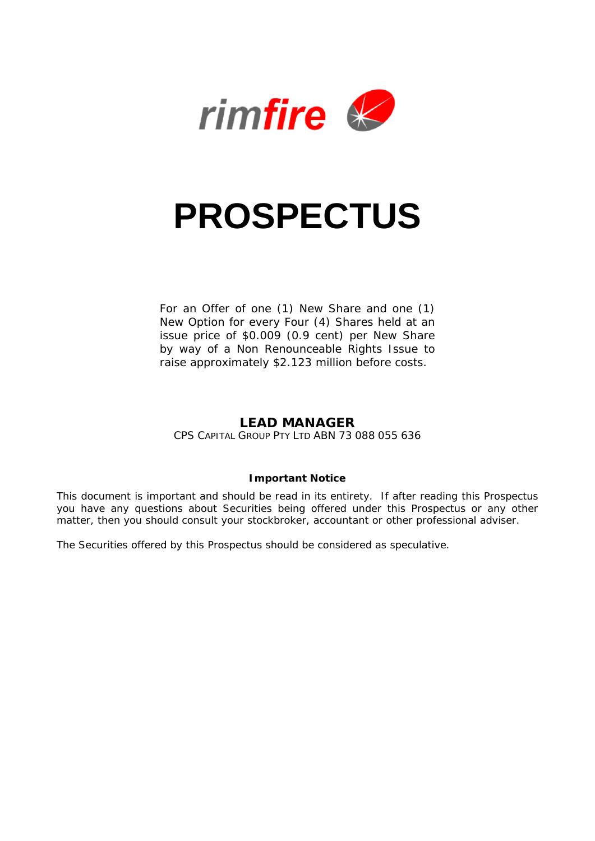

# **PROSPECTUS**

For an Offer of one (1) New Share and one (1) New Option for every Four (4) Shares held at an issue price of \$0.009 (0.9 cent) per New Share by way of a Non Renounceable Rights Issue to raise approximately \$2.123 million before costs.

# **LEAD MANAGER**

CPS CAPITAL GROUP PTY LTD ABN 73 088 055 636

#### **Important Notice**

This document is important and should be read in its entirety. If after reading this Prospectus you have any questions about Securities being offered under this Prospectus or any other matter, then you should consult your stockbroker, accountant or other professional adviser.

The Securities offered by this Prospectus should be considered as speculative.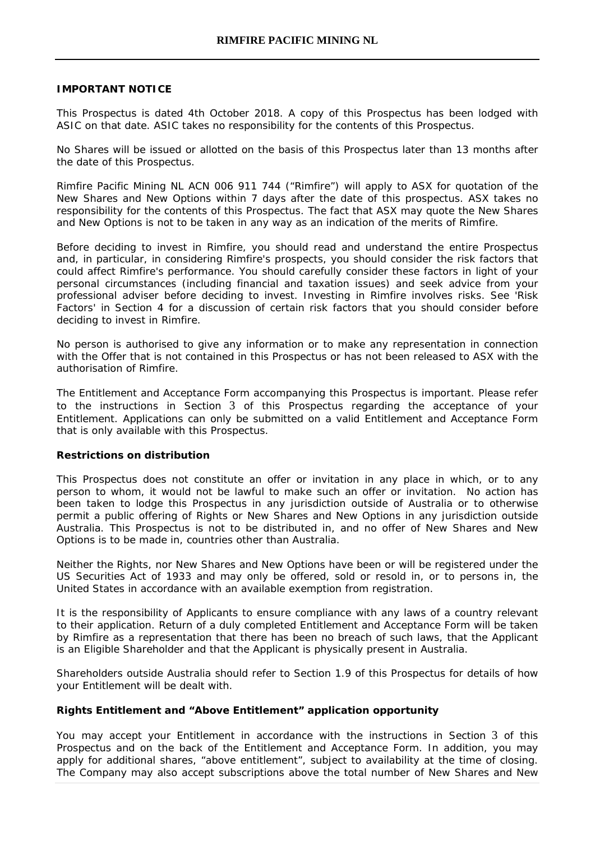#### **IMPORTANT NOTICE**

This Prospectus is dated 4th October 2018. A copy of this Prospectus has been lodged with ASIC on that date. ASIC takes no responsibility for the contents of this Prospectus.

No Shares will be issued or allotted on the basis of this Prospectus later than 13 months after the date of this Prospectus.

Rimfire Pacific Mining NL ACN 006 911 744 ("Rimfire") will apply to ASX for quotation of the New Shares and New Options within 7 days after the date of this prospectus. ASX takes no responsibility for the contents of this Prospectus. The fact that ASX may quote the New Shares and New Options is not to be taken in any way as an indication of the merits of Rimfire.

Before deciding to invest in Rimfire, you should read and understand the entire Prospectus and, in particular, in considering Rimfire's prospects, you should consider the risk factors that could affect Rimfire's performance. You should carefully consider these factors in light of your personal circumstances (including financial and taxation issues) and seek advice from your professional adviser before deciding to invest. Investing in Rimfire involves risks. See 'Risk Factors' in Section 4 for a discussion of certain risk factors that you should consider before deciding to invest in Rimfire.

No person is authorised to give any information or to make any representation in connection with the Offer that is not contained in this Prospectus or has not been released to ASX with the authorisation of Rimfire.

The Entitlement and Acceptance Form accompanying this Prospectus is important. Please refer to the instructions in [Section](#page-12-0) 3 of this Prospectus regarding the acceptance of your Entitlement. Applications can only be submitted on a valid Entitlement and Acceptance Form that is only available with this Prospectus.

#### **Restrictions on distribution**

This Prospectus does not constitute an offer or invitation in any place in which, or to any person to whom, it would not be lawful to make such an offer or invitation. No action has been taken to lodge this Prospectus in any jurisdiction outside of Australia or to otherwise permit a public offering of Rights or New Shares and New Options in any jurisdiction outside Australia. This Prospectus is not to be distributed in, and no offer of New Shares and New Options is to be made in, countries other than Australia.

Neither the Rights, nor New Shares and New Options have been or will be registered under the US Securities Act of 1933 and may only be offered, sold or resold in, or to persons in, the United States in accordance with an available exemption from registration.

It is the responsibility of Applicants to ensure compliance with any laws of a country relevant to their application. Return of a duly completed Entitlement and Acceptance Form will be taken by Rimfire as a representation that there has been no breach of such laws, that the Applicant is an Eligible Shareholder and that the Applicant is physically present in Australia.

Shareholders outside Australia should refer to Section 1.9 of this Prospectus for details of how your Entitlement will be dealt with.

#### **Rights Entitlement and "Above Entitlement" application opportunity**

You may accept your Entitlement in accordance with the instructions in [Section](#page-12-0) 3 of this Prospectus and on the back of the Entitlement and Acceptance Form. In addition, you may apply for additional shares, "above entitlement", subject to availability at the time of closing. The Company may also accept subscriptions above the total number of New Shares and New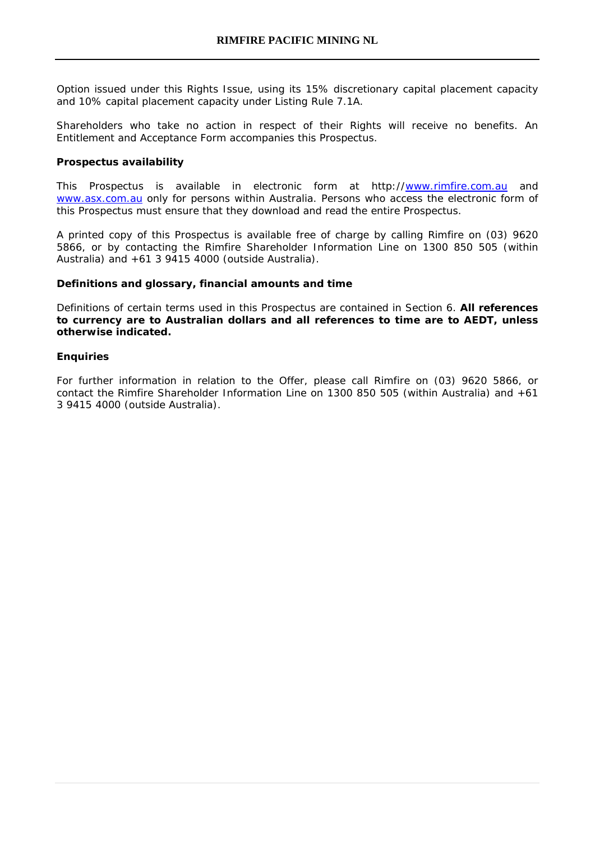Option issued under this Rights Issue, using its 15% discretionary capital placement capacity and 10% capital placement capacity under Listing Rule 7.1A.

Shareholders who take no action in respect of their Rights will receive no benefits. An Entitlement and Acceptance Form accompanies this Prospectus.

#### **Prospectus availability**

This Prospectus is available in electronic form at http:/[/www.rimfire.com.au](http://www.rimfire.com.au/) and [www.asx.com.au](http://www.asx.com.au/) only for persons within Australia. Persons who access the electronic form of this Prospectus must ensure that they download and read the entire Prospectus.

A printed copy of this Prospectus is available free of charge by calling Rimfire on (03) 9620 5866, or by contacting the Rimfire Shareholder Information Line on 1300 850 505 (within Australia) and +61 3 9415 4000 (outside Australia).

#### **Definitions and glossary, financial amounts and time**

Definitions of certain terms used in this Prospectus are contained in Section 6. **All references to currency are to Australian dollars and all references to time are to AEDT, unless otherwise indicated.**

#### **Enquiries**

For further information in relation to the Offer, please call Rimfire on (03) 9620 5866, or contact the Rimfire Shareholder Information Line on 1300 850 505 (within Australia) and +61 3 9415 4000 (outside Australia).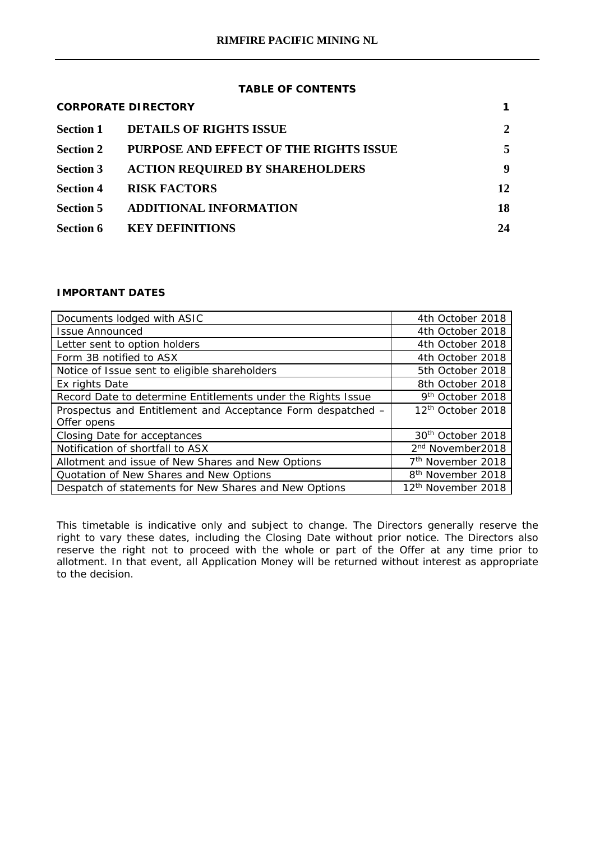# **TABLE OF CONTENTS**

|                  | <b>CORPORATE DIRECTORY</b>             |    |
|------------------|----------------------------------------|----|
| Section 1        | <b>DETAILS OF RIGHTS ISSUE</b>         | 2  |
| <b>Section 2</b> | PURPOSE AND EFFECT OF THE RIGHTS ISSUE | 5  |
| <b>Section 3</b> | <b>ACTION REQUIRED BY SHAREHOLDERS</b> | 9  |
| <b>Section 4</b> | <b>RISK FACTORS</b>                    | 12 |
| Section 5        | <b>ADDITIONAL INFORMATION</b>          | 18 |
| Section 6        | <b>KEY DEFINITIONS</b>                 | 24 |

# **IMPORTANT DATES**

| Documents lodged with ASIC                                   | 4th October 2018               |
|--------------------------------------------------------------|--------------------------------|
| <b>Issue Announced</b>                                       | 4th October 2018               |
| Letter sent to option holders                                | 4th October 2018               |
| Form 3B notified to ASX                                      | 4th October 2018               |
| Notice of Issue sent to eligible shareholders                | 5th October 2018               |
| Ex rights Date                                               | 8th October 2018               |
| Record Date to determine Entitlements under the Rights Issue | 9th October 2018               |
| Prospectus and Entitlement and Acceptance Form despatched -  | 12 <sup>th</sup> October 2018  |
| Offer opens                                                  |                                |
| Closing Date for acceptances                                 | 30 <sup>th</sup> October 2018  |
| Notification of shortfall to ASX                             | 2 <sup>nd</sup> November2018   |
| Allotment and issue of New Shares and New Options            | 7 <sup>th</sup> November 2018  |
| Quotation of New Shares and New Options                      | 8 <sup>th</sup> November 2018  |
| Despatch of statements for New Shares and New Options        | 12 <sup>th</sup> November 2018 |

This timetable is indicative only and subject to change. The Directors generally reserve the right to vary these dates, including the Closing Date without prior notice. The Directors also reserve the right not to proceed with the whole or part of the Offer at any time prior to allotment. In that event, all Application Money will be returned without interest as appropriate to the decision.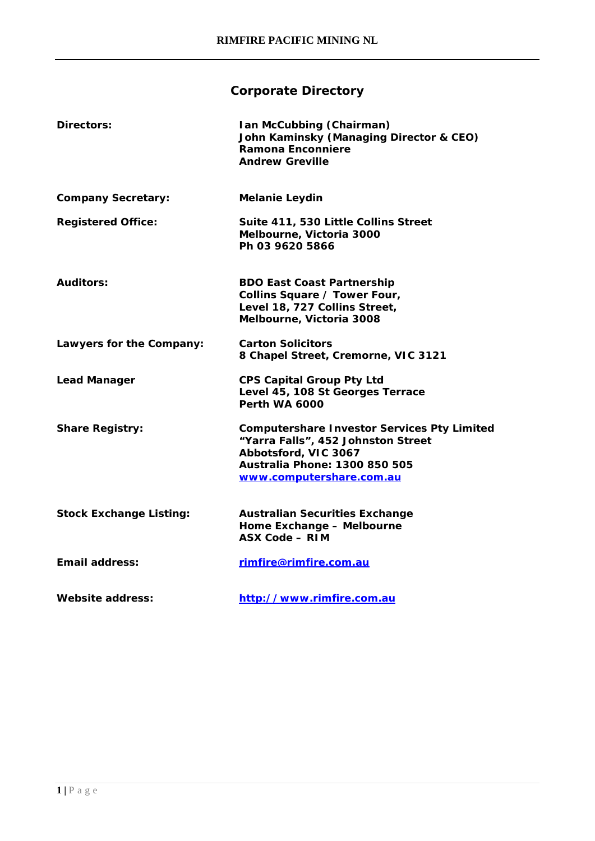# **Corporate Directory**

| Directors:                     | Ian McCubbing (Chairman)<br>John Kaminsky (Managing Director & CEO)<br>Ramona Enconniere<br><b>Andrew Greville</b>                                                            |
|--------------------------------|-------------------------------------------------------------------------------------------------------------------------------------------------------------------------------|
| <b>Company Secretary:</b>      | <b>Melanie Leydin</b>                                                                                                                                                         |
| <b>Registered Office:</b>      | Suite 411, 530 Little Collins Street<br>Melbourne, Victoria 3000<br>Ph 03 9620 5866                                                                                           |
| <b>Auditors:</b>               | <b>BDO East Coast Partnership</b><br>Collins Square / Tower Four,<br>Level 18, 727 Collins Street,<br>Melbourne, Victoria 3008                                                |
| Lawyers for the Company:       | <b>Carton Solicitors</b><br>8 Chapel Street, Cremorne, VIC 3121                                                                                                               |
| <b>Lead Manager</b>            | <b>CPS Capital Group Pty Ltd</b><br>Level 45, 108 St Georges Terrace<br><b>Perth WA 6000</b>                                                                                  |
| <b>Share Registry:</b>         | <b>Computershare Investor Services Pty Limited</b><br>"Yarra Falls", 452 Johnston Street<br>Abbotsford, VIC 3067<br>Australia Phone: 1300 850 505<br>www.computershare.com.au |
| <b>Stock Exchange Listing:</b> | <b>Australian Securities Exchange</b><br>Home Exchange - Melbourne<br><b>ASX Code - RIM</b>                                                                                   |
| Email address:                 | rimfire@rimfire.com.au                                                                                                                                                        |
| Website address:               | http://www.rimfire.com.au                                                                                                                                                     |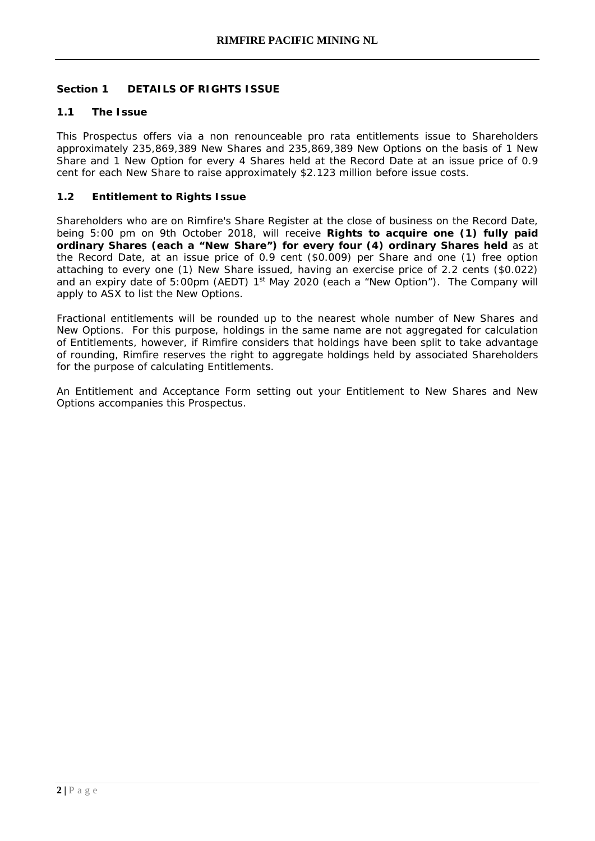# **Section 1 DETAILS OF RIGHTS ISSUE**

#### **1.1 The Issue**

This Prospectus offers via a non renounceable pro rata entitlements issue to Shareholders approximately 235,869,389 New Shares and 235,869,389 New Options on the basis of 1 New Share and 1 New Option for every 4 Shares held at the Record Date at an issue price of 0.9 cent for each New Share to raise approximately \$2.123 million before issue costs.

#### **1.2 Entitlement to Rights Issue**

Shareholders who are on Rimfire's Share Register at the close of business on the Record Date, being 5:00 pm on 9th October 2018, will receive **Rights to acquire one (1) fully paid ordinary Shares (each a "New Share") for every four (4) ordinary Shares held** as at the Record Date, at an issue price of 0.9 cent (\$0.009) per Share and one (1) free option attaching to every one (1) New Share issued, having an exercise price of 2.2 cents (\$0.022) and an expiry date of 5:00pm (AEDT)  $1<sup>st</sup>$  May 2020 (each a "New Option"). The Company will apply to ASX to list the New Options.

Fractional entitlements will be rounded up to the nearest whole number of New Shares and New Options. For this purpose, holdings in the same name are not aggregated for calculation of Entitlements, however, if Rimfire considers that holdings have been split to take advantage of rounding, Rimfire reserves the right to aggregate holdings held by associated Shareholders for the purpose of calculating Entitlements.

An Entitlement and Acceptance Form setting out your Entitlement to New Shares and New Options accompanies this Prospectus.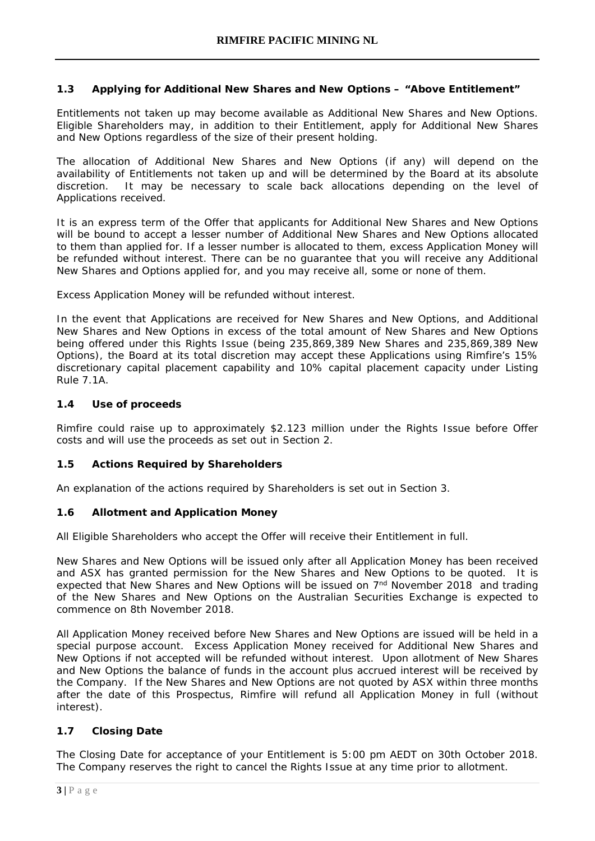# **1.3 Applying for Additional New Shares and New Options – "Above Entitlement"**

Entitlements not taken up may become available as Additional New Shares and New Options. Eligible Shareholders may, in addition to their Entitlement, apply for Additional New Shares and New Options regardless of the size of their present holding.

The allocation of Additional New Shares and New Options (if any) will depend on the availability of Entitlements not taken up and will be determined by the Board at its absolute discretion. It may be necessary to scale back allocations depending on the level of Applications received.

It is an express term of the Offer that applicants for Additional New Shares and New Options will be bound to accept a lesser number of Additional New Shares and New Options allocated to them than applied for. If a lesser number is allocated to them, excess Application Money will be refunded without interest. There can be no guarantee that you will receive any Additional New Shares and Options applied for, and you may receive all, some or none of them.

Excess Application Money will be refunded without interest.

In the event that Applications are received for New Shares and New Options, and Additional New Shares and New Options in excess of the total amount of New Shares and New Options being offered under this Rights Issue (being 235,869,389 New Shares and 235,869,389 New Options), the Board at its total discretion may accept these Applications using Rimfire's 15% discretionary capital placement capability and 10% capital placement capacity under Listing Rule 7.1A.

# **1.4 Use of proceeds**

Rimfire could raise up to approximately \$2.123 million under the Rights Issue before Offer costs and will use the proceeds as set out in Section 2.

#### **1.5 Actions Required by Shareholders**

An explanation of the actions required by Shareholders is set out in Section 3.

#### **1.6 Allotment and Application Money**

All Eligible Shareholders who accept the Offer will receive their Entitlement in full.

New Shares and New Options will be issued only after all Application Money has been received and ASX has granted permission for the New Shares and New Options to be quoted. It is expected that New Shares and New Options will be issued on  $7<sup>nd</sup>$  November 2018 and trading of the New Shares and New Options on the Australian Securities Exchange is expected to commence on 8th November 2018.

All Application Money received before New Shares and New Options are issued will be held in a special purpose account. Excess Application Money received for Additional New Shares and New Options if not accepted will be refunded without interest. Upon allotment of New Shares and New Options the balance of funds in the account plus accrued interest will be received by the Company. If the New Shares and New Options are not quoted by ASX within three months after the date of this Prospectus, Rimfire will refund all Application Money in full (without interest).

# **1.7 Closing Date**

The Closing Date for acceptance of your Entitlement is 5:00 pm AEDT on 30th October 2018. The Company reserves the right to cancel the Rights Issue at any time prior to allotment.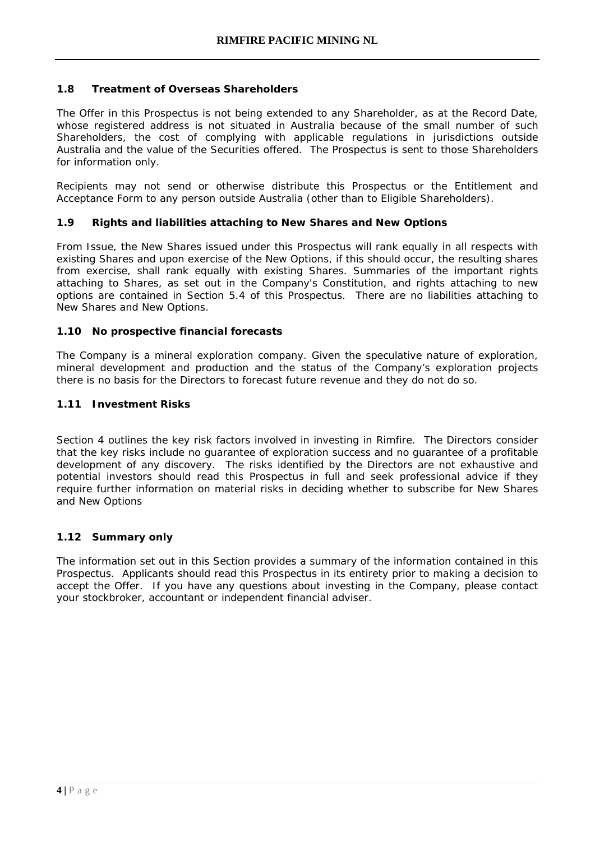## **1.8 Treatment of Overseas Shareholders**

The Offer in this Prospectus is not being extended to any Shareholder, as at the Record Date, whose registered address is not situated in Australia because of the small number of such Shareholders, the cost of complying with applicable regulations in jurisdictions outside Australia and the value of the Securities offered. The Prospectus is sent to those Shareholders for information only.

Recipients may not send or otherwise distribute this Prospectus or the Entitlement and Acceptance Form to any person outside Australia (other than to Eligible Shareholders).

# **1.9 Rights and liabilities attaching to New Shares and New Options**

From Issue, the New Shares issued under this Prospectus will rank equally in all respects with existing Shares and upon exercise of the New Options, if this should occur, the resulting shares from exercise, shall rank equally with existing Shares. Summaries of the important rights attaching to Shares, as set out in the Company's Constitution, and rights attaching to new options are contained in Section 5.4 of this Prospectus. There are no liabilities attaching to New Shares and New Options.

# **1.10 No prospective financial forecasts**

The Company is a mineral exploration company. Given the speculative nature of exploration, mineral development and production and the status of the Company's exploration projects there is no basis for the Directors to forecast future revenue and they do not do so.

# **1.11 Investment Risks**

Section 4 outlines the key risk factors involved in investing in Rimfire. The Directors consider that the key risks include no guarantee of exploration success and no guarantee of a profitable development of any discovery. The risks identified by the Directors are not exhaustive and potential investors should read this Prospectus in full and seek professional advice if they require further information on material risks in deciding whether to subscribe for New Shares and New Options

# **1.12 Summary only**

The information set out in this Section provides a summary of the information contained in this Prospectus. Applicants should read this Prospectus in its entirety prior to making a decision to accept the Offer. If you have any questions about investing in the Company, please contact your stockbroker, accountant or independent financial adviser.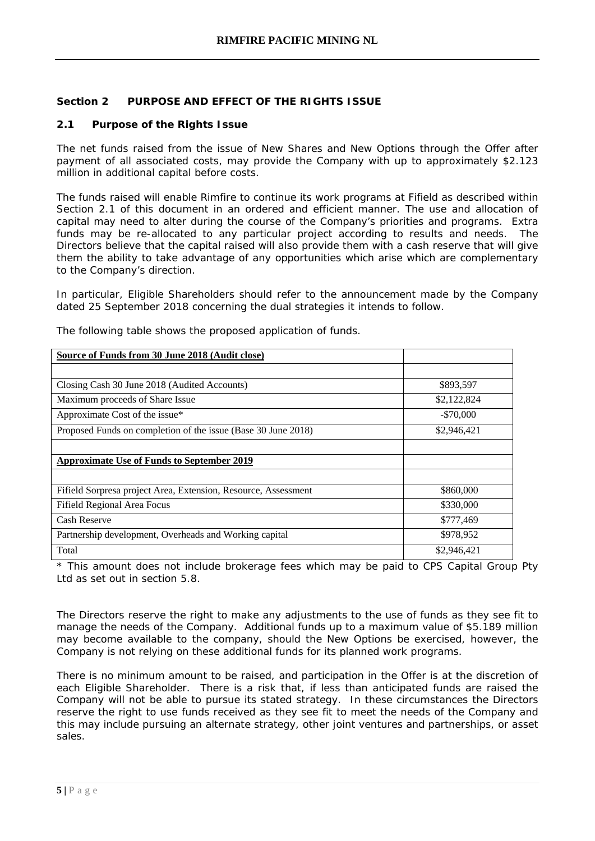# **Section 2 PURPOSE AND EFFECT OF THE RIGHTS ISSUE**

#### **2.1 Purpose of the Rights Issue**

The net funds raised from the issue of New Shares and New Options through the Offer after payment of all associated costs, may provide the Company with up to approximately \$2.123 million in additional capital before costs.

The funds raised will enable Rimfire to continue its work programs at Fifield as described within Section 2.1 of this document in an ordered and efficient manner. The use and allocation of capital may need to alter during the course of the Company's priorities and programs. Extra funds may be re-allocated to any particular project according to results and needs. The Directors believe that the capital raised will also provide them with a cash reserve that will give them the ability to take advantage of any opportunities which arise which are complementary to the Company's direction.

In particular, Eligible Shareholders should refer to the announcement made by the Company dated 25 September 2018 concerning the dual strategies it intends to follow.

| Source of Funds from 30 June 2018 (Audit close)                |             |
|----------------------------------------------------------------|-------------|
|                                                                |             |
| Closing Cash 30 June 2018 (Audited Accounts)                   | \$893,597   |
| Maximum proceeds of Share Issue                                | \$2,122,824 |
| Approximate Cost of the issue*                                 | $-$70,000$  |
| Proposed Funds on completion of the issue (Base 30 June 2018)  | \$2,946,421 |
|                                                                |             |
| <b>Approximate Use of Funds to September 2019</b>              |             |
|                                                                |             |
| Fifield Sorpresa project Area, Extension, Resource, Assessment | \$860,000   |
| Fifield Regional Area Focus                                    | \$330,000   |
| Cash Reserve                                                   | \$777,469   |
| Partnership development, Overheads and Working capital         | \$978,952   |
| Total                                                          | \$2,946,421 |

The following table shows the proposed application of funds.

\* This amount does not include brokerage fees which may be paid to CPS Capital Group Pty Ltd as set out in section 5.8.

The Directors reserve the right to make any adjustments to the use of funds as they see fit to manage the needs of the Company. Additional funds up to a maximum value of \$5.189 million may become available to the company, should the New Options be exercised, however, the Company is not relying on these additional funds for its planned work programs.

There is no minimum amount to be raised, and participation in the Offer is at the discretion of each Eligible Shareholder. There is a risk that, if less than anticipated funds are raised the Company will not be able to pursue its stated strategy. In these circumstances the Directors reserve the right to use funds received as they see fit to meet the needs of the Company and this may include pursuing an alternate strategy, other joint ventures and partnerships, or asset sales.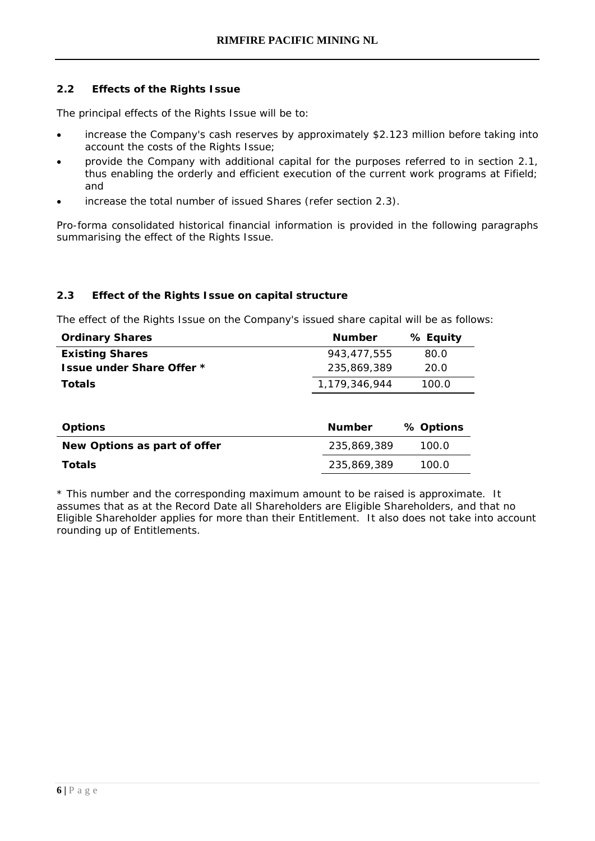# **2.2 Effects of the Rights Issue**

The principal effects of the Rights Issue will be to:

- increase the Company's cash reserves by approximately \$2.123 million before taking into account the costs of the Rights Issue;
- provide the Company with additional capital for the purposes referred to in section 2.1, thus enabling the orderly and efficient execution of the current work programs at Fifield; and
- increase the total number of issued Shares (refer section 2.3).

Pro-forma consolidated historical financial information is provided in the following paragraphs summarising the effect of the Rights Issue.

# **2.3 Effect of the Rights Issue on capital structure**

The effect of the Rights Issue on the Company's issued share capital will be as follows:

| <b>Ordinary Shares</b>           | <b>Number</b> | % Equity |
|----------------------------------|---------------|----------|
| <b>Existing Shares</b>           | 943.477.555   | 80.0     |
| <b>Issue under Share Offer *</b> | 235.869.389   | 20.0     |
| <b>Totals</b>                    | 1.179.346.944 | 100.0    |
|                                  |               |          |

| <b>Options</b>               | <b>Number</b> | % Options |
|------------------------------|---------------|-----------|
| New Options as part of offer | 235.869.389   | 100.0     |
| <b>Totals</b>                | 235.869.389   | 100.0     |

\* This number and the corresponding maximum amount to be raised is approximate. It assumes that as at the Record Date all Shareholders are Eligible Shareholders, and that no Eligible Shareholder applies for more than their Entitlement. It also does not take into account rounding up of Entitlements.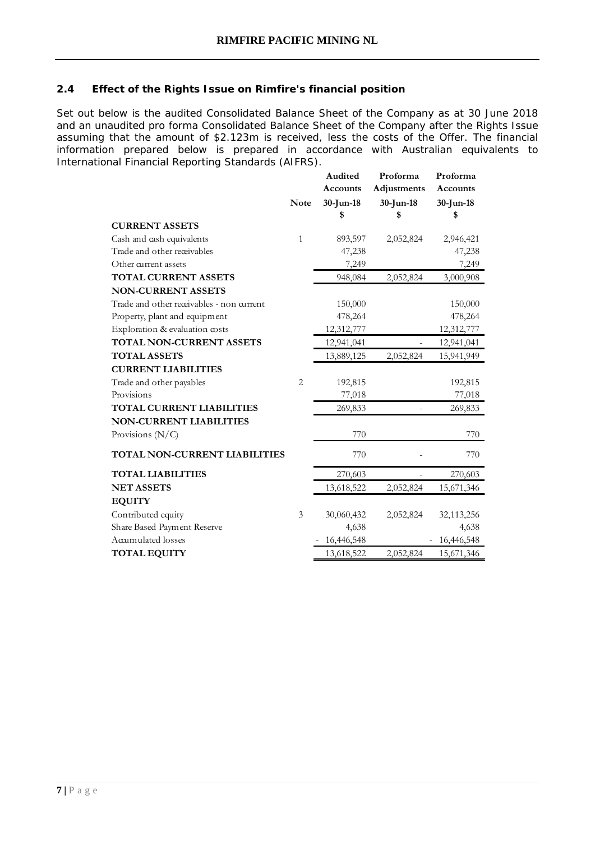## **2.4 Effect of the Rights Issue on Rimfire's financial position**

Set out below is the audited Consolidated Balance Sheet of the Company as at 30 June 2018 and an unaudited pro forma Consolidated Balance Sheet of the Company after the Rights Issue assuming that the amount of \$2.123m is received, less the costs of the Offer. The financial information prepared below is prepared in accordance with Australian equivalents to International Financial Reporting Standards (AIFRS).

|                                           |                | Audited         | Proforma     | Proforma   |
|-------------------------------------------|----------------|-----------------|--------------|------------|
|                                           |                | <b>Accounts</b> | Adjustments  | Accounts   |
|                                           | <b>Note</b>    | $30$ -Jun-18    | $30$ -Jun-18 | 30-Jun-18  |
|                                           |                | \$              | \$           | \$         |
| <b>CURRENT ASSETS</b>                     |                |                 |              |            |
| Cash and cash equivalents                 | $\mathbf{1}$   | 893,597         | 2,052,824    | 2,946,421  |
| Trade and other receivables               |                | 47,238          |              | 47,238     |
| Other current assets                      |                | 7,249           |              | 7,249      |
| <b>TOTAL CURRENT ASSETS</b>               |                | 948,084         | 2,052,824    | 3,000,908  |
| <b>NON-CURRENT ASSETS</b>                 |                |                 |              |            |
| Trade and other receivables - non current |                | 150,000         |              | 150,000    |
| Property, plant and equipment             |                | 478,264         |              | 478,264    |
| Exploration & evaluation costs            |                | 12,312,777      |              | 12,312,777 |
| TOTAL NON-CURRENT ASSETS                  |                | 12,941,041      |              | 12,941,041 |
| <b>TOTAL ASSETS</b>                       |                | 13,889,125      | 2,052,824    | 15,941,949 |
| <b>CURRENT LIABILITIES</b>                |                |                 |              |            |
| Trade and other payables                  | $\overline{2}$ | 192,815         |              | 192,815    |
| Provisions                                |                | 77,018          |              | 77,018     |
| <b>TOTAL CURRENT LIABILITIES</b>          |                | 269,833         |              | 269,833    |
| <b>NON-CURRENT LIABILITIES</b>            |                |                 |              |            |
| Provisions $(N/C)$                        |                | 770             |              | 770        |
| TOTAL NON-CURRENT LIABILITIES             |                | 770             |              | 770        |
| <b>TOTAL LIABILITIES</b>                  |                | 270,603         |              | 270,603    |
| <b>NET ASSETS</b>                         |                | 13,618,522      | 2,052,824    | 15,671,346 |
| <b>EQUITY</b>                             |                |                 |              |            |
| Contributed equity                        | 3              | 30,060,432      | 2,052,824    | 32,113,256 |
| Share Based Payment Reserve               |                | 4,638           |              | 4,638      |
| Accumulated losses                        |                | 16,446,548      |              | 16,446,548 |
| <b>TOTAL EQUITY</b>                       |                | 13,618,522      | 2,052,824    | 15,671,346 |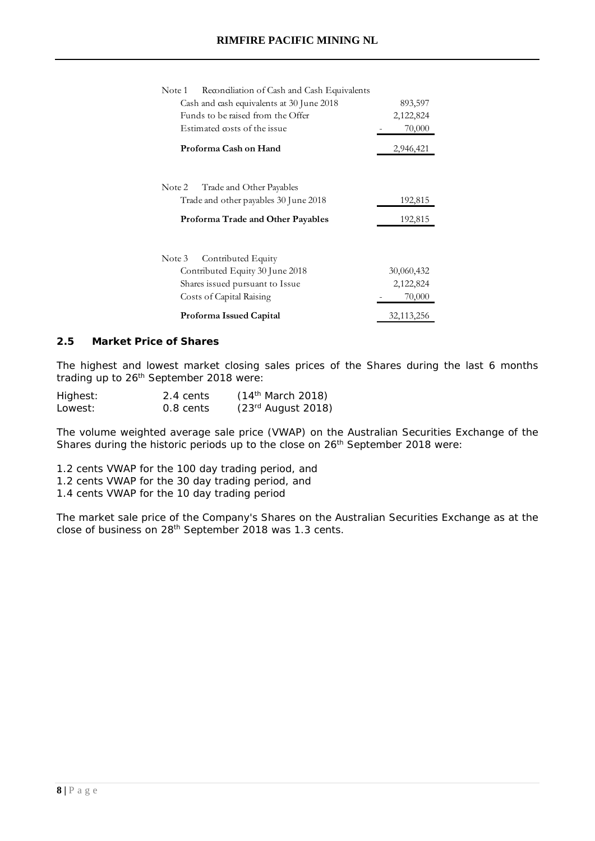| Reconciliation of Cash and Cash Equivalents<br>Note 1 |              |
|-------------------------------------------------------|--------------|
| Cash and cash equivalents at 30 June 2018             | 893,597      |
| Funds to be raised from the Offer                     | 2,122,824    |
| Estimated costs of the issue                          | 70,000       |
| Proforma Cash on Hand                                 | 2,946,421    |
|                                                       |              |
| Trade and Other Payables<br>Note 2                    |              |
| Trade and other payables 30 June 2018                 | 192,815      |
| Proforma Trade and Other Payables                     | 192,815      |
| Contributed Equity<br>Note 3                          |              |
| Contributed Equity 30 June 2018                       | 30,060,432   |
| Shares issued pursuant to Issue                       | 2,122,824    |
| Costs of Capital Raising                              | 70,000       |
| Proforma Issued Capital                               | 32, 113, 256 |

# **2.5 Market Price of Shares**

The highest and lowest market closing sales prices of the Shares during the last 6 months trading up to 26th September 2018 were:

| Highest: | 2.4 cents | (14 <sup>th</sup> March 2018) |
|----------|-----------|-------------------------------|
| Lowest:  | 0.8 cents | $(23rd$ August 2018)          |

The volume weighted average sale price (VWAP) on the Australian Securities Exchange of the Shares during the historic periods up to the close on 26<sup>th</sup> September 2018 were:

- 1.2 cents VWAP for the 100 day trading period, and 1.2 cents VWAP for the 30 day trading period, and
- 
- 1.4 cents VWAP for the 10 day trading period

The market sale price of the Company's Shares on the Australian Securities Exchange as at the close of business on 28th September 2018 was 1.3 cents.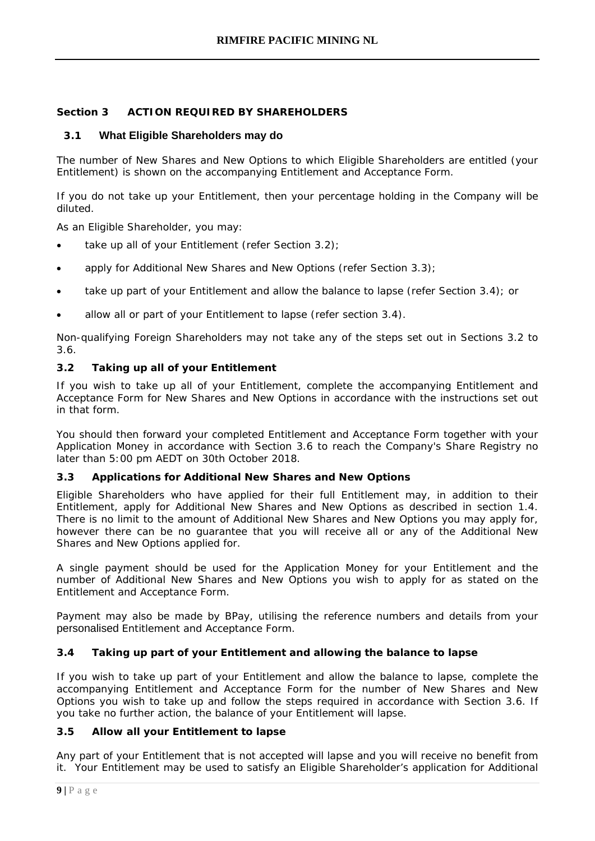# **Section 3 ACTION REQUIRED BY SHAREHOLDERS**

# <span id="page-12-0"></span>**3.1 What Eligible Shareholders may do**

The number of New Shares and New Options to which Eligible Shareholders are entitled (your Entitlement) is shown on the accompanying Entitlement and Acceptance Form.

If you do not take up your Entitlement, then your percentage holding in the Company will be diluted.

As an Eligible Shareholder, you may:

- take up all of your Entitlement (refer Section 3.2);
- apply for Additional New Shares and New Options (refer Section 3.3);
- take up part of your Entitlement and allow the balance to lapse (refer Section 3.4); or
- allow all or part of your Entitlement to lapse (refer section 3.4).

Non-qualifying Foreign Shareholders may not take any of the steps set out in Sections 3.2 to 3.6.

# **3.2 Taking up all of your Entitlement**

If you wish to take up all of your Entitlement, complete the accompanying Entitlement and Acceptance Form for New Shares and New Options in accordance with the instructions set out in that form.

You should then forward your completed Entitlement and Acceptance Form together with your Application Money in accordance with Section 3.6 to reach the Company's Share Registry no later than 5:00 pm AEDT on 30th October 2018.

# **3.3 Applications for Additional New Shares and New Options**

Eligible Shareholders who have applied for their full Entitlement may, in addition to their Entitlement, apply for Additional New Shares and New Options as described in section 1.4. There is no limit to the amount of Additional New Shares and New Options you may apply for, however there can be no guarantee that you will receive all or any of the Additional New Shares and New Options applied for.

A single payment should be used for the Application Money for your Entitlement and the number of Additional New Shares and New Options you wish to apply for as stated on the Entitlement and Acceptance Form.

Payment may also be made by BPay, utilising the reference numbers and details from your personalised Entitlement and Acceptance Form.

# **3.4 Taking up part of your Entitlement and allowing the balance to lapse**

If you wish to take up part of your Entitlement and allow the balance to lapse, complete the accompanying Entitlement and Acceptance Form for the number of New Shares and New Options you wish to take up and follow the steps required in accordance with Section 3.6. If you take no further action, the balance of your Entitlement will lapse.

# **3.5 Allow all your Entitlement to lapse**

Any part of your Entitlement that is not accepted will lapse and you will receive no benefit from it. Your Entitlement may be used to satisfy an Eligible Shareholder's application for Additional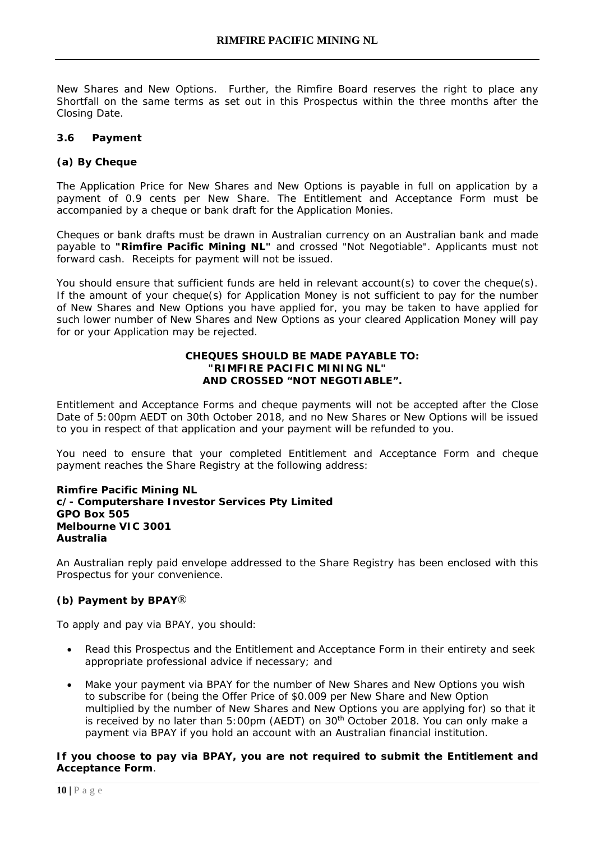New Shares and New Options. Further, the Rimfire Board reserves the right to place any Shortfall on the same terms as set out in this Prospectus within the three months after the Closing Date.

#### **3.6 Payment**

## **(a) By Cheque**

The Application Price for New Shares and New Options is payable in full on application by a payment of 0.9 cents per New Share. The Entitlement and Acceptance Form must be accompanied by a cheque or bank draft for the Application Monies.

Cheques or bank drafts must be drawn in Australian currency on an Australian bank and made payable to *"Rimfire Pacific Mining NL"* and crossed "Not Negotiable". Applicants must not forward cash. Receipts for payment will not be issued.

You should ensure that sufficient funds are held in relevant account(s) to cover the cheque(s). If the amount of your cheque(s) for Application Money is not sufficient to pay for the number of New Shares and New Options you have applied for, you may be taken to have applied for such lower number of New Shares and New Options as your cleared Application Money will pay for or your Application may be rejected.

#### **CHEQUES SHOULD BE MADE PAYABLE TO: "RIMFIRE PACIFIC MINING NL" AND CROSSED "NOT NEGOTIABLE".**

Entitlement and Acceptance Forms and cheque payments will not be accepted after the Close Date of 5:00pm AEDT on 30th October 2018, and no New Shares or New Options will be issued to you in respect of that application and your payment will be refunded to you.

You need to ensure that your completed Entitlement and Acceptance Form and cheque payment reaches the Share Registry at the following address:

#### **Rimfire Pacific Mining NL c/- Computershare Investor Services Pty Limited GPO Box 505 Melbourne VIC 3001 Australia**

An Australian reply paid envelope addressed to the Share Registry has been enclosed with this Prospectus for your convenience.

#### **(b) Payment by BPAY**®

To apply and pay via BPAY, you should:

- Read this Prospectus and the Entitlement and Acceptance Form in their entirety and seek appropriate professional advice if necessary; and
- Make your payment via BPAY for the number of New Shares and New Options you wish to subscribe for (being the Offer Price of \$0.009 per New Share and New Option multiplied by the number of New Shares and New Options you are applying for) so that it is received by no later than  $5:00$ pm (AEDT) on  $30<sup>th</sup>$  October 2018. You can only make a payment via BPAY if you hold an account with an Australian financial institution.

#### **If you choose to pay via BPAY, you are not required to submit the Entitlement and Acceptance Form**.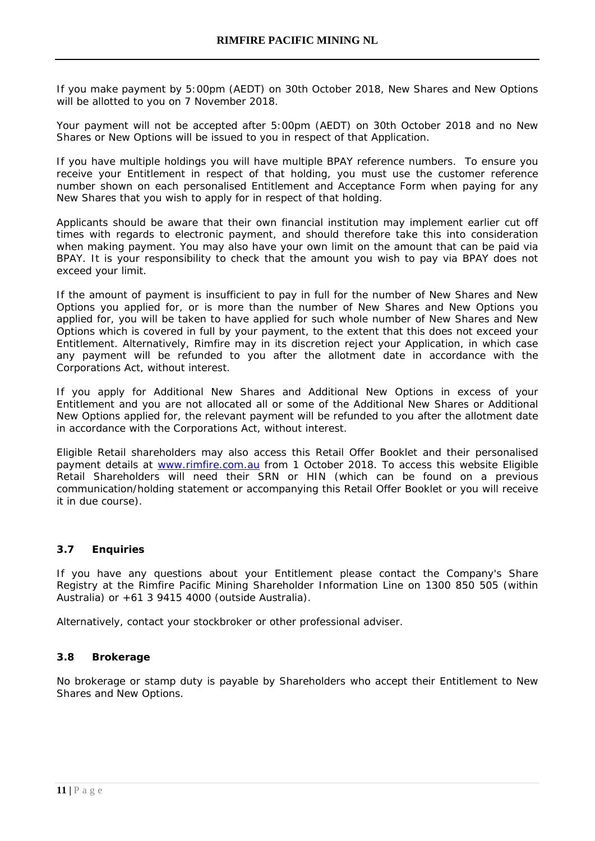If you make payment by 5:00pm (AEDT) on 30th October 2018, New Shares and New Options will be allotted to you on 7 November 2018.

Your payment will not be accepted after 5:00pm (AEDT) on 30th October 2018 and no New Shares or New Options will be issued to you in respect of that Application.

If you have multiple holdings you will have multiple BPAY reference numbers. To ensure you receive your Entitlement in respect of that holding, you must use the customer reference number shown on each personalised Entitlement and Acceptance Form when paying for any New Shares that you wish to apply for in respect of that holding.

Applicants should be aware that their own financial institution may implement earlier cut off times with regards to electronic payment, and should therefore take this into consideration when making payment. You may also have your own limit on the amount that can be paid via BPAY. It is your responsibility to check that the amount you wish to pay via BPAY does not exceed your limit.

If the amount of payment is insufficient to pay in full for the number of New Shares and New Options you applied for, or is more than the number of New Shares and New Options you applied for, you will be taken to have applied for such whole number of New Shares and New Options which is covered in full by your payment, to the extent that this does not exceed your Entitlement. Alternatively, Rimfire may in its discretion reject your Application, in which case any payment will be refunded to you after the allotment date in accordance with the Corporations Act, without interest.

If you apply for Additional New Shares and Additional New Options in excess of your Entitlement and you are not allocated all or some of the Additional New Shares or Additional New Options applied for, the relevant payment will be refunded to you after the allotment date in accordance with the Corporations Act, without interest.

Eligible Retail shareholders may also access this Retail Offer Booklet and their personalised payment details at [www.rimfire.com.au](http://www.rimfire.com.au/) from 1 October 2018. To access this website Eligible Retail Shareholders will need their SRN or HIN (which can be found on a previous communication/holding statement or accompanying this Retail Offer Booklet or you will receive it in due course).

#### **3.7 Enquiries**

If you have any questions about your Entitlement please contact the Company's Share Registry at the Rimfire Pacific Mining Shareholder Information Line on 1300 850 505 (within Australia) or +61 3 9415 4000 (outside Australia).

Alternatively, contact your stockbroker or other professional adviser.

#### **3.8 Brokerage**

No brokerage or stamp duty is payable by Shareholders who accept their Entitlement to New Shares and New Options.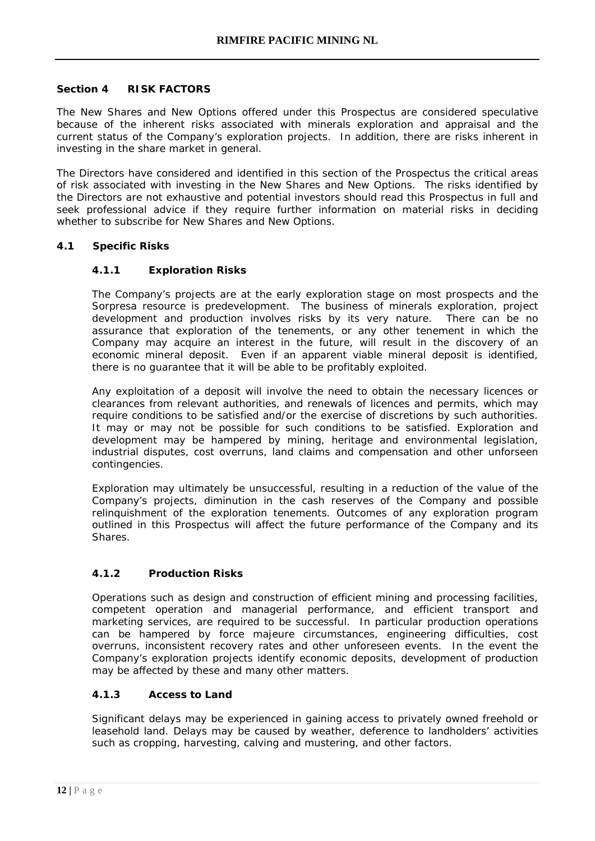#### **Section 4 RISK FACTORS**

The New Shares and New Options offered under this Prospectus are considered speculative because of the inherent risks associated with minerals exploration and appraisal and the current status of the Company's exploration projects. In addition, there are risks inherent in investing in the share market in general.

The Directors have considered and identified in this section of the Prospectus the critical areas of risk associated with investing in the New Shares and New Options. The risks identified by the Directors are not exhaustive and potential investors should read this Prospectus in full and seek professional advice if they require further information on material risks in deciding whether to subscribe for New Shares and New Options.

# **4.1 Specific Risks**

# **4.1.1 Exploration Risks**

The Company's projects are at the early exploration stage on most prospects and the Sorpresa resource is predevelopment. The business of minerals exploration, project development and production involves risks by its very nature. There can be no assurance that exploration of the tenements, or any other tenement in which the Company may acquire an interest in the future, will result in the discovery of an economic mineral deposit. Even if an apparent viable mineral deposit is identified, there is no guarantee that it will be able to be profitably exploited.

Any exploitation of a deposit will involve the need to obtain the necessary licences or clearances from relevant authorities, and renewals of licences and permits, which may require conditions to be satisfied and/or the exercise of discretions by such authorities. It may or may not be possible for such conditions to be satisfied. Exploration and development may be hampered by mining, heritage and environmental legislation, industrial disputes, cost overruns, land claims and compensation and other unforseen contingencies.

Exploration may ultimately be unsuccessful, resulting in a reduction of the value of the Company's projects, diminution in the cash reserves of the Company and possible relinquishment of the exploration tenements. Outcomes of any exploration program outlined in this Prospectus will affect the future performance of the Company and its Shares.

# **4.1.2 Production Risks**

Operations such as design and construction of efficient mining and processing facilities, competent operation and managerial performance, and efficient transport and marketing services, are required to be successful. In particular production operations can be hampered by force majeure circumstances, engineering difficulties, cost overruns, inconsistent recovery rates and other unforeseen events. In the event the Company's exploration projects identify economic deposits, development of production may be affected by these and many other matters.

#### **4.1.3 Access to Land**

Significant delays may be experienced in gaining access to privately owned freehold or leasehold land. Delays may be caused by weather, deference to landholders' activities such as cropping, harvesting, calving and mustering, and other factors.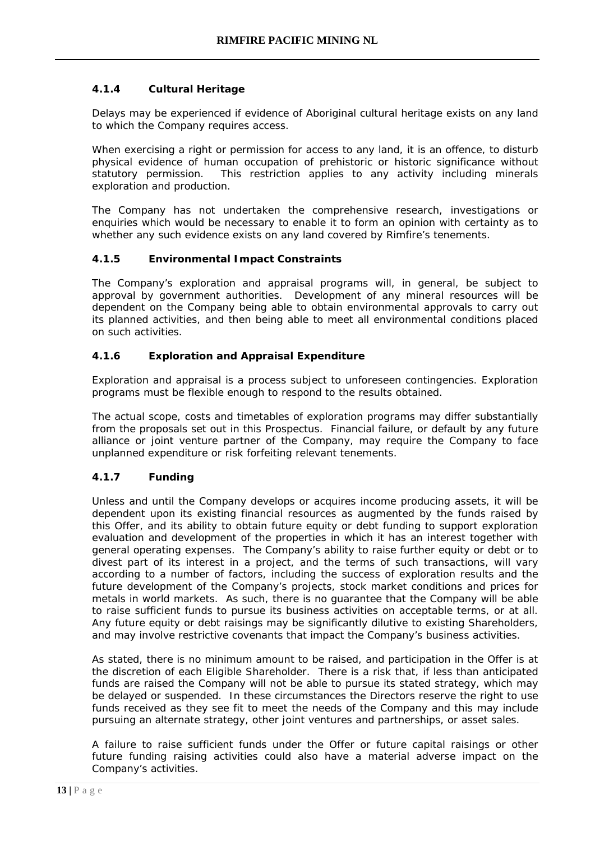# **4.1.4 Cultural Heritage**

Delays may be experienced if evidence of Aboriginal cultural heritage exists on any land to which the Company requires access.

When exercising a right or permission for access to any land, it is an offence, to disturb physical evidence of human occupation of prehistoric or historic significance without statutory permission. This restriction applies to any activity including minerals exploration and production.

The Company has not undertaken the comprehensive research, investigations or enquiries which would be necessary to enable it to form an opinion with certainty as to whether any such evidence exists on any land covered by Rimfire's tenements.

# **4.1.5 Environmental Impact Constraints**

The Company's exploration and appraisal programs will, in general, be subject to approval by government authorities. Development of any mineral resources will be dependent on the Company being able to obtain environmental approvals to carry out its planned activities, and then being able to meet all environmental conditions placed on such activities.

# **4.1.6 Exploration and Appraisal Expenditure**

Exploration and appraisal is a process subject to unforeseen contingencies. Exploration programs must be flexible enough to respond to the results obtained.

The actual scope, costs and timetables of exploration programs may differ substantially from the proposals set out in this Prospectus. Financial failure, or default by any future alliance or joint venture partner of the Company, may require the Company to face unplanned expenditure or risk forfeiting relevant tenements.

#### **4.1.7 Funding**

Unless and until the Company develops or acquires income producing assets, it will be dependent upon its existing financial resources as augmented by the funds raised by this Offer, and its ability to obtain future equity or debt funding to support exploration evaluation and development of the properties in which it has an interest together with general operating expenses. The Company's ability to raise further equity or debt or to divest part of its interest in a project, and the terms of such transactions, will vary according to a number of factors, including the success of exploration results and the future development of the Company's projects, stock market conditions and prices for metals in world markets. As such, there is no guarantee that the Company will be able to raise sufficient funds to pursue its business activities on acceptable terms, or at all. Any future equity or debt raisings may be significantly dilutive to existing Shareholders, and may involve restrictive covenants that impact the Company's business activities.

As stated, there is no minimum amount to be raised, and participation in the Offer is at the discretion of each Eligible Shareholder. There is a risk that, if less than anticipated funds are raised the Company will not be able to pursue its stated strategy, which may be delayed or suspended. In these circumstances the Directors reserve the right to use funds received as they see fit to meet the needs of the Company and this may include pursuing an alternate strategy, other joint ventures and partnerships, or asset sales.

A failure to raise sufficient funds under the Offer or future capital raisings or other future funding raising activities could also have a material adverse impact on the Company's activities.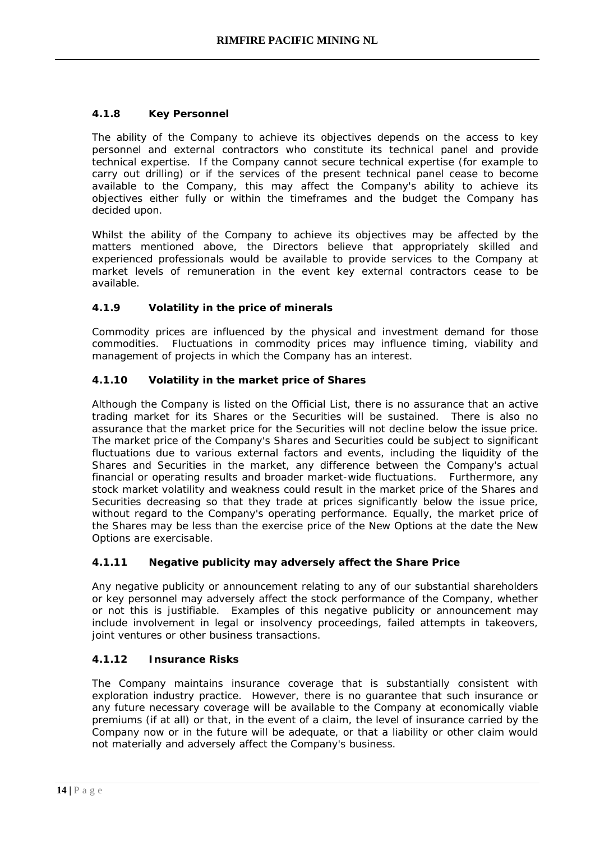# **4.1.8 Key Personnel**

The ability of the Company to achieve its objectives depends on the access to key personnel and external contractors who constitute its technical panel and provide technical expertise. If the Company cannot secure technical expertise (for example to carry out drilling) or if the services of the present technical panel cease to become available to the Company, this may affect the Company's ability to achieve its objectives either fully or within the timeframes and the budget the Company has decided upon.

Whilst the ability of the Company to achieve its objectives may be affected by the matters mentioned above, the Directors believe that appropriately skilled and experienced professionals would be available to provide services to the Company at market levels of remuneration in the event key external contractors cease to be available.

# **4.1.9 Volatility in the price of minerals**

Commodity prices are influenced by the physical and investment demand for those commodities. Fluctuations in commodity prices may influence timing, viability and management of projects in which the Company has an interest.

# **4.1.10 Volatility in the market price of Shares**

Although the Company is listed on the Official List, there is no assurance that an active trading market for its Shares or the Securities will be sustained. There is also no assurance that the market price for the Securities will not decline below the issue price. The market price of the Company's Shares and Securities could be subject to significant fluctuations due to various external factors and events, including the liquidity of the Shares and Securities in the market, any difference between the Company's actual financial or operating results and broader market-wide fluctuations. Furthermore, any stock market volatility and weakness could result in the market price of the Shares and Securities decreasing so that they trade at prices significantly below the issue price, without regard to the Company's operating performance. Equally, the market price of the Shares may be less than the exercise price of the New Options at the date the New Options are exercisable.

#### **4.1.11 Negative publicity may adversely affect the Share Price**

Any negative publicity or announcement relating to any of our substantial shareholders or key personnel may adversely affect the stock performance of the Company, whether or not this is justifiable. Examples of this negative publicity or announcement may include involvement in legal or insolvency proceedings, failed attempts in takeovers, joint ventures or other business transactions.

#### **4.1.12 Insurance Risks**

The Company maintains insurance coverage that is substantially consistent with exploration industry practice. However, there is no guarantee that such insurance or any future necessary coverage will be available to the Company at economically viable premiums (if at all) or that, in the event of a claim, the level of insurance carried by the Company now or in the future will be adequate, or that a liability or other claim would not materially and adversely affect the Company's business.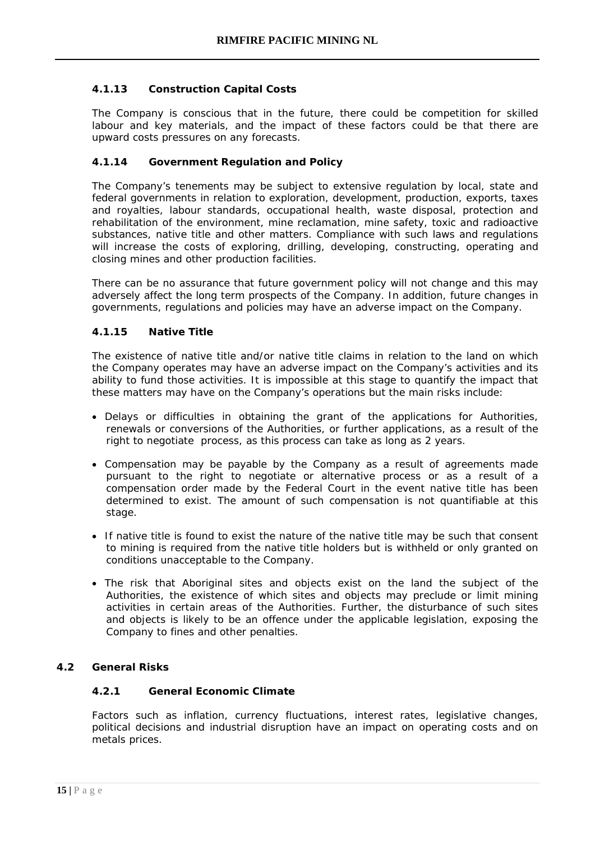# **4.1.13 Construction Capital Costs**

The Company is conscious that in the future, there could be competition for skilled labour and key materials, and the impact of these factors could be that there are upward costs pressures on any forecasts.

## **4.1.14 Government Regulation and Policy**

The Company's tenements may be subject to extensive regulation by local, state and federal governments in relation to exploration, development, production, exports, taxes and royalties, labour standards, occupational health, waste disposal, protection and rehabilitation of the environment, mine reclamation, mine safety, toxic and radioactive substances, native title and other matters. Compliance with such laws and regulations will increase the costs of exploring, drilling, developing, constructing, operating and closing mines and other production facilities.

There can be no assurance that future government policy will not change and this may adversely affect the long term prospects of the Company. In addition, future changes in governments, regulations and policies may have an adverse impact on the Company.

# **4.1.15 Native Title**

The existence of native title and/or native title claims in relation to the land on which the Company operates may have an adverse impact on the Company's activities and its ability to fund those activities. It is impossible at this stage to quantify the impact that these matters may have on the Company's operations but the main risks include:

- Delays or difficulties in obtaining the grant of the applications for Authorities, renewals or conversions of the Authorities, or further applications, as a result of the right to negotiate process, as this process can take as long as 2 years.
- Compensation may be payable by the Company as a result of agreements made pursuant to the right to negotiate or alternative process or as a result of a compensation order made by the Federal Court in the event native title has been determined to exist. The amount of such compensation is not quantifiable at this stage.
- If native title is found to exist the nature of the native title may be such that consent to mining is required from the native title holders but is withheld or only granted on conditions unacceptable to the Company.
- The risk that Aboriginal sites and objects exist on the land the subject of the Authorities, the existence of which sites and objects may preclude or limit mining activities in certain areas of the Authorities. Further, the disturbance of such sites and objects is likely to be an offence under the applicable legislation, exposing the Company to fines and other penalties.

#### **4.2 General Risks**

# **4.2.1 General Economic Climate**

Factors such as inflation, currency fluctuations, interest rates, legislative changes, political decisions and industrial disruption have an impact on operating costs and on metals prices.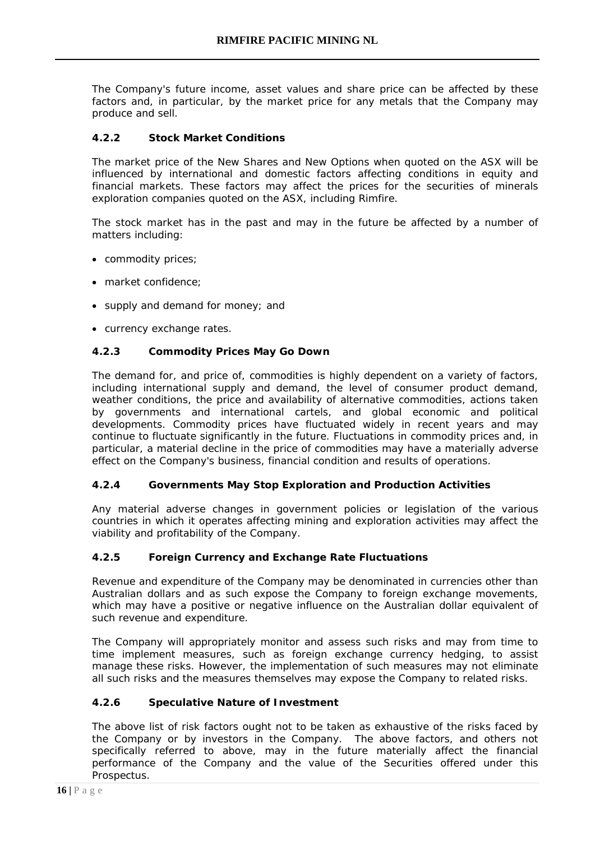The Company's future income, asset values and share price can be affected by these factors and, in particular, by the market price for any metals that the Company may produce and sell.

# **4.2.2 Stock Market Conditions**

The market price of the New Shares and New Options when quoted on the ASX will be influenced by international and domestic factors affecting conditions in equity and financial markets. These factors may affect the prices for the securities of minerals exploration companies quoted on the ASX, including Rimfire.

The stock market has in the past and may in the future be affected by a number of matters including:

- commodity prices;
- market confidence;
- supply and demand for money; and
- currency exchange rates.

# **4.2.3 Commodity Prices May Go Down**

The demand for, and price of, commodities is highly dependent on a variety of factors, including international supply and demand, the level of consumer product demand, weather conditions, the price and availability of alternative commodities, actions taken by governments and international cartels, and global economic and political developments. Commodity prices have fluctuated widely in recent years and may continue to fluctuate significantly in the future. Fluctuations in commodity prices and, in particular, a material decline in the price of commodities may have a materially adverse effect on the Company's business, financial condition and results of operations.

#### **4.2.4 Governments May Stop Exploration and Production Activities**

Any material adverse changes in government policies or legislation of the various countries in which it operates affecting mining and exploration activities may affect the viability and profitability of the Company.

#### **4.2.5 Foreign Currency and Exchange Rate Fluctuations**

Revenue and expenditure of the Company may be denominated in currencies other than Australian dollars and as such expose the Company to foreign exchange movements, which may have a positive or negative influence on the Australian dollar equivalent of such revenue and expenditure.

The Company will appropriately monitor and assess such risks and may from time to time implement measures, such as foreign exchange currency hedging, to assist manage these risks. However, the implementation of such measures may not eliminate all such risks and the measures themselves may expose the Company to related risks.

#### **4.2.6 Speculative Nature of Investment**

The above list of risk factors ought not to be taken as exhaustive of the risks faced by the Company or by investors in the Company. The above factors, and others not specifically referred to above, may in the future materially affect the financial performance of the Company and the value of the Securities offered under this Prospectus.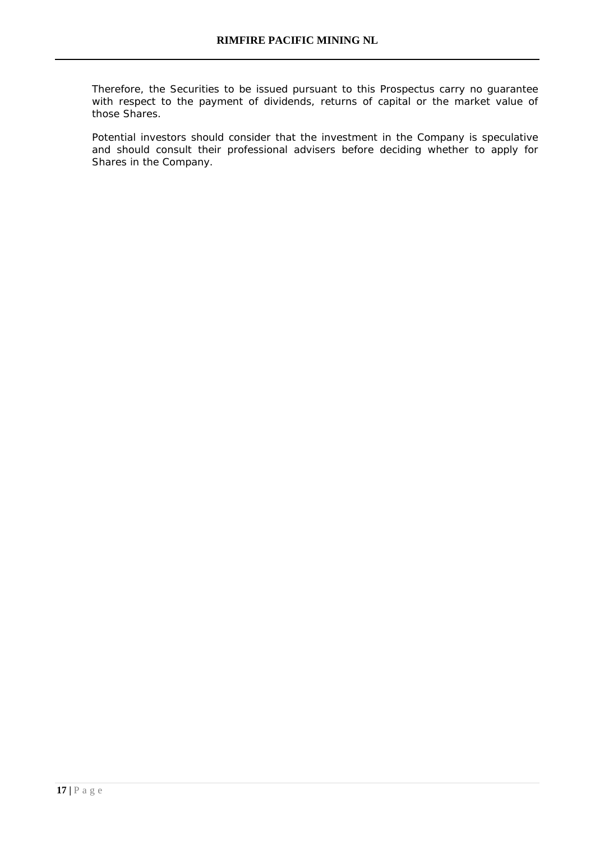Therefore, the Securities to be issued pursuant to this Prospectus carry no guarantee with respect to the payment of dividends, returns of capital or the market value of those Shares.

Potential investors should consider that the investment in the Company is speculative and should consult their professional advisers before deciding whether to apply for Shares in the Company.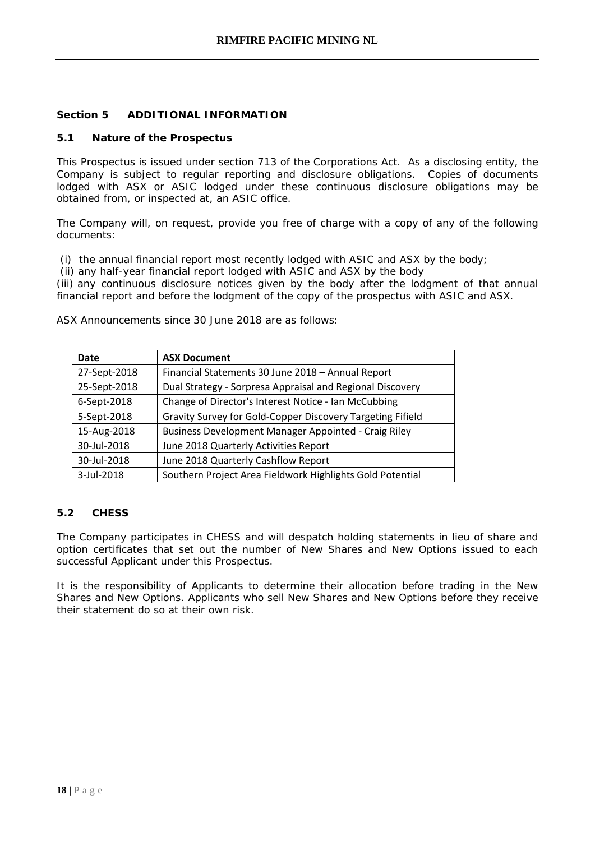# **Section 5 ADDITIONAL INFORMATION**

#### **5.1 Nature of the Prospectus**

This Prospectus is issued under section 713 of the Corporations Act. As a [disclosing entity,](http://www.austlii.edu.au/au/legis/cth/consol_act/ca2001172/s9.html#disclosing_entity) the Company is subject to regular reporting and disclosure obligations. Copies of documents [lodged](http://www.austlii.edu.au/au/legis/cth/consol_act/ca2001172/s9.html#lodge) with ASX or [ASIC](http://www.austlii.edu.au/au/legis/cth/consol_act/ca2001172/s9.html#asic) lodged under these continuous disclosure obligations may be obtained from, or inspected at, an [ASIC](http://www.austlii.edu.au/au/legis/cth/consol_act/ca2001172/s9.html#asic) office.

The Company will, on request, provide you free of charge with a copy of any of the following documents:

(i) the annual [financial](http://www.austlii.edu.au/au/legis/cth/consol_act/ca2001172/s9.html#financial_report) [report](http://www.austlii.edu.au/au/legis/cth/consol_act/ca2001172/s9.html#financial_report) most recently [lodged](http://www.austlii.edu.au/au/legis/cth/consol_act/ca2001172/s9.html#lodge) with [ASIC](http://www.austlii.edu.au/au/legis/cth/consol_act/ca2001172/s9.html#asic) and ASX by the [body;](http://www.austlii.edu.au/au/legis/cth/consol_act/ca2001172/s9.html#body)

(ii) any [half-year](http://www.austlii.edu.au/au/legis/cth/consol_act/ca2001172/s9.html#half-year) [financial report](http://www.austlii.edu.au/au/legis/cth/consol_act/ca2001172/s9.html#financial_report) [lodged](http://www.austlii.edu.au/au/legis/cth/consol_act/ca2001172/s9.html#lodge) with [ASIC](http://www.austlii.edu.au/au/legis/cth/consol_act/ca2001172/s9.html#asic) and ASX by the [body](http://www.austlii.edu.au/au/legis/cth/consol_act/ca2001172/s9.html#body)

(iii) any [continuous](http://www.austlii.edu.au/au/legis/cth/consol_act/ca2001172/s9.html#continuous_disclosure_notice) [disclosure notices](http://www.austlii.edu.au/au/legis/cth/consol_act/ca2001172/s9.html#continuous_disclosure_notice) given by the [body](http://www.austlii.edu.au/au/legis/cth/consol_act/ca2001172/s9.html#body) after the lodgment of that annual [financial report](http://www.austlii.edu.au/au/legis/cth/consol_act/ca2001172/s9.html#financial_report) and before the lodgment of the copy of the [prospectus](http://www.austlii.edu.au/au/legis/cth/consol_act/ca2001172/s9.html#prospectus) with [ASIC](http://www.austlii.edu.au/au/legis/cth/consol_act/ca2001172/s9.html#asic) and ASX.

ASX Announcements since 30 June 2018 are as follows:

| Date         | <b>ASX Document</b>                                        |
|--------------|------------------------------------------------------------|
| 27-Sept-2018 | Financial Statements 30 June 2018 - Annual Report          |
| 25-Sept-2018 | Dual Strategy - Sorpresa Appraisal and Regional Discovery  |
| 6-Sept-2018  | Change of Director's Interest Notice - Ian McCubbing       |
| 5-Sept-2018  | Gravity Survey for Gold-Copper Discovery Targeting Fifield |
| 15-Aug-2018  | Business Development Manager Appointed - Craig Riley       |
| 30-Jul-2018  | June 2018 Quarterly Activities Report                      |
| 30-Jul-2018  | June 2018 Quarterly Cashflow Report                        |
| 3-Jul-2018   | Southern Project Area Fieldwork Highlights Gold Potential  |

#### **5.2 CHESS**

The Company participates in CHESS and will despatch holding statements in lieu of share and option certificates that set out the number of New Shares and New Options issued to each successful Applicant under this Prospectus.

It is the responsibility of Applicants to determine their allocation before trading in the New Shares and New Options. Applicants who sell New Shares and New Options before they receive their statement do so at their own risk.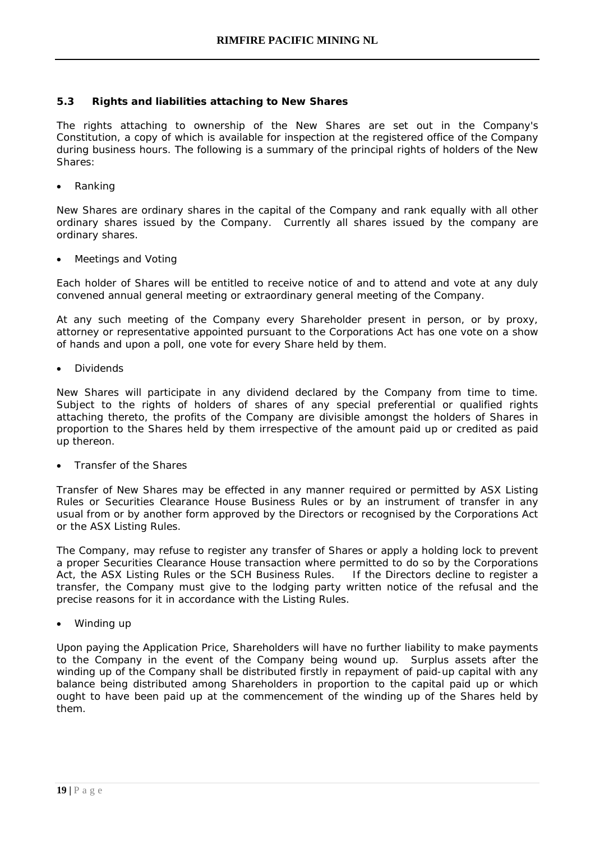## **5.3 Rights and liabilities attaching to New Shares**

The rights attaching to ownership of the New Shares are set out in the Company's Constitution, a copy of which is available for inspection at the registered office of the Company during business hours. The following is a summary of the principal rights of holders of the New Shares:

• Ranking

New Shares are ordinary shares in the capital of the Company and rank equally with all other ordinary shares issued by the Company. Currently all shares issued by the company are ordinary shares.

• Meetings and Voting

Each holder of Shares will be entitled to receive notice of and to attend and vote at any duly convened annual general meeting or extraordinary general meeting of the Company.

At any such meeting of the Company every Shareholder present in person, or by proxy, attorney or representative appointed pursuant to the Corporations Act has one vote on a show of hands and upon a poll, one vote for every Share held by them.

• Dividends

New Shares will participate in any dividend declared by the Company from time to time. Subject to the rights of holders of shares of any special preferential or qualified rights attaching thereto, the profits of the Company are divisible amongst the holders of Shares in proportion to the Shares held by them irrespective of the amount paid up or credited as paid up thereon.

• Transfer of the Shares

Transfer of New Shares may be effected in any manner required or permitted by ASX Listing Rules or Securities Clearance House Business Rules or by an instrument of transfer in any usual from or by another form approved by the Directors or recognised by the Corporations Act or the ASX Listing Rules.

The Company, may refuse to register any transfer of Shares or apply a holding lock to prevent a proper Securities Clearance House transaction where permitted to do so by the Corporations Act, the ASX Listing Rules or the SCH Business Rules. If the Directors decline to register a transfer, the Company must give to the lodging party written notice of the refusal and the precise reasons for it in accordance with the Listing Rules.

• Winding up

Upon paying the Application Price, Shareholders will have no further liability to make payments to the Company in the event of the Company being wound up. Surplus assets after the winding up of the Company shall be distributed firstly in repayment of paid-up capital with any balance being distributed among Shareholders in proportion to the capital paid up or which ought to have been paid up at the commencement of the winding up of the Shares held by them.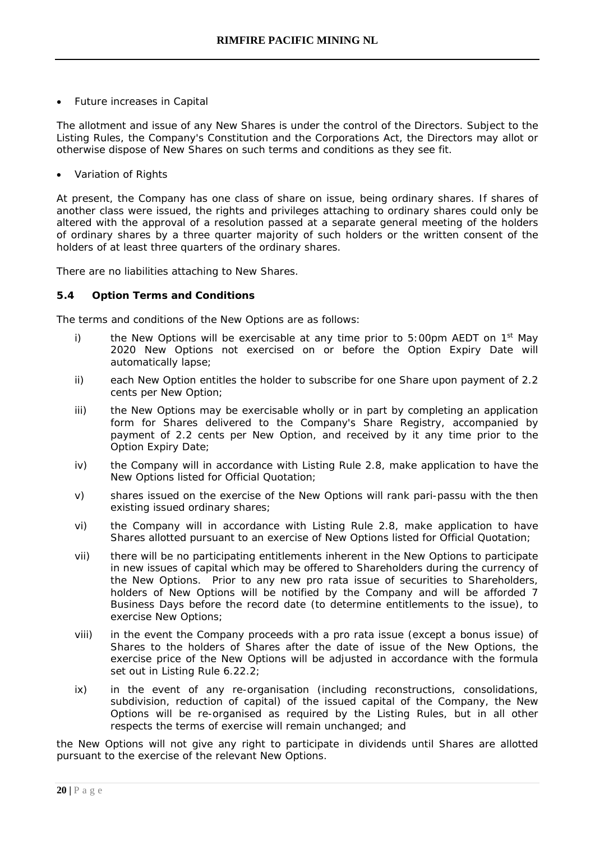• Future increases in Capital

The allotment and issue of any New Shares is under the control of the Directors. Subject to the Listing Rules, the Company's Constitution and the Corporations Act, the Directors may allot or otherwise dispose of New Shares on such terms and conditions as they see fit.

• Variation of Rights

At present, the Company has one class of share on issue, being ordinary shares. If shares of another class were issued, the rights and privileges attaching to ordinary shares could only be altered with the approval of a resolution passed at a separate general meeting of the holders of ordinary shares by a three quarter majority of such holders or the written consent of the holders of at least three quarters of the ordinary shares.

There are no liabilities attaching to New Shares.

#### **5.4 Option Terms and Conditions**

The terms and conditions of the New Options are as follows:

- i) the New Options will be exercisable at any time prior to 5:00pm AEDT on  $1<sup>st</sup>$  May 2020 New Options not exercised on or before the Option Expiry Date will automatically lapse;
- ii) each New Option entitles the holder to subscribe for one Share upon payment of 2.2 cents per New Option;
- iii) the New Options may be exercisable wholly or in part by completing an application form for Shares delivered to the Company's Share Registry, accompanied by payment of 2.2 cents per New Option, and received by it any time prior to the Option Expiry Date;
- iv) the Company will in accordance with Listing Rule 2.8, make application to have the New Options listed for Official Quotation;
- v) shares issued on the exercise of the New Options will rank pari-passu with the then existing issued ordinary shares;
- vi) the Company will in accordance with Listing Rule 2.8, make application to have Shares allotted pursuant to an exercise of New Options listed for Official Quotation;
- vii) there will be no participating entitlements inherent in the New Options to participate in new issues of capital which may be offered to Shareholders during the currency of the New Options. Prior to any new pro rata issue of securities to Shareholders, holders of New Options will be notified by the Company and will be afforded 7 Business Days before the record date (to determine entitlements to the issue), to exercise New Options;
- viii) in the event the Company proceeds with a pro rata issue (except a bonus issue) of Shares to the holders of Shares after the date of issue of the New Options, the exercise price of the New Options will be adjusted in accordance with the formula set out in Listing Rule 6.22.2;
- ix) in the event of any re-organisation (including reconstructions, consolidations, subdivision, reduction of capital) of the issued capital of the Company, the New Options will be re-organised as required by the Listing Rules, but in all other respects the terms of exercise will remain unchanged; and

the New Options will not give any right to participate in dividends until Shares are allotted pursuant to the exercise of the relevant New Options.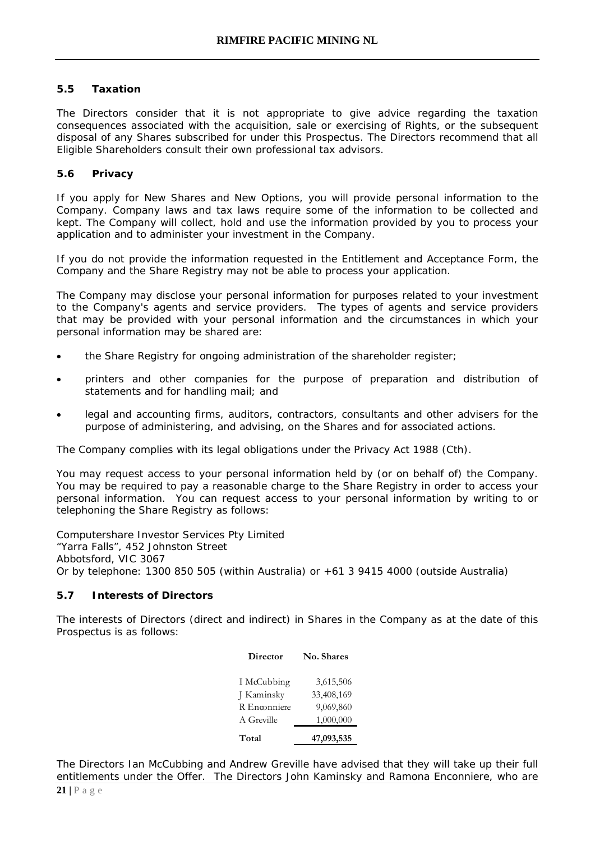# **5.5 Taxation**

The Directors consider that it is not appropriate to give advice regarding the taxation consequences associated with the acquisition, sale or exercising of Rights, or the subsequent disposal of any Shares subscribed for under this Prospectus. The Directors recommend that all Eligible Shareholders consult their own professional tax advisors.

# **5.6 Privacy**

If you apply for New Shares and New Options, you will provide personal information to the Company. Company laws and tax laws require some of the information to be collected and kept. The Company will collect, hold and use the information provided by you to process your application and to administer your investment in the Company.

If you do not provide the information requested in the Entitlement and Acceptance Form, the Company and the Share Registry may not be able to process your application.

The Company may disclose your personal information for purposes related to your investment to the Company's agents and service providers. The types of agents and service providers that may be provided with your personal information and the circumstances in which your personal information may be shared are:

- the Share Registry for ongoing administration of the shareholder register;
- printers and other companies for the purpose of preparation and distribution of statements and for handling mail; and
- legal and accounting firms, auditors, contractors, consultants and other advisers for the purpose of administering, and advising, on the Shares and for associated actions.

The Company complies with its legal obligations under the Privacy Act 1988 (Cth).

You may request access to your personal information held by (or on behalf of) the Company. You may be required to pay a reasonable charge to the Share Registry in order to access your personal information. You can request access to your personal information by writing to or telephoning the Share Registry as follows:

Computershare Investor Services Pty Limited "Yarra Falls", 452 Johnston Street Abbotsford, VIC 3067 Or by telephone:  $1300 850 505$  (within Australia) or  $+61 3 9415 4000$  (outside Australia)

#### **5.7 Interests of Directors**

The interests of Directors (direct and indirect) in Shares in the Company as at the date of this Prospectus is as follows:

| Director     | No. Shares |
|--------------|------------|
| I McCubbing  | 3,615,506  |
| J Kaminsky   | 33,408,169 |
| R Enconniere | 9,069,860  |
| A Greville   | 1,000,000  |
| Total        | 47,093,535 |

**21 |** Page The Directors Ian McCubbing and Andrew Greville have advised that they will take up their full entitlements under the Offer. The Directors John Kaminsky and Ramona Enconniere, who are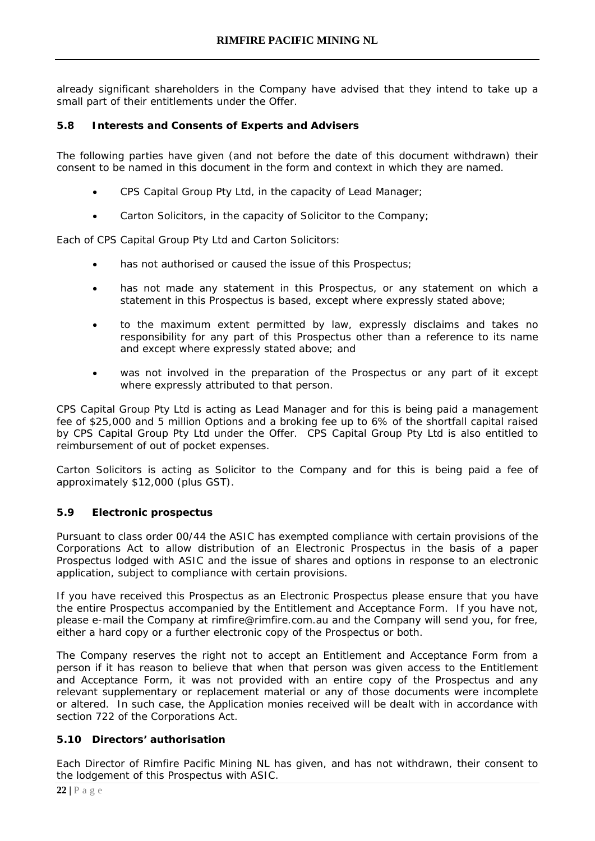already significant shareholders in the Company have advised that they intend to take up a small part of their entitlements under the Offer.

# **5.8 Interests and Consents of Experts and Advisers**

The following parties have given (and not before the date of this document withdrawn) their consent to be named in this document in the form and context in which they are named.

- CPS Capital Group Pty Ltd, in the capacity of Lead Manager;
- Carton Solicitors, in the capacity of Solicitor to the Company;

Each of CPS Capital Group Pty Ltd and Carton Solicitors:

- has not authorised or caused the issue of this Prospectus;
- has not made any statement in this Prospectus, or any statement on which a statement in this Prospectus is based, except where expressly stated above;
- to the maximum extent permitted by law, expressly disclaims and takes no responsibility for any part of this Prospectus other than a reference to its name and except where expressly stated above; and
- was not involved in the preparation of the Prospectus or any part of it except where expressly attributed to that person.

CPS Capital Group Pty Ltd is acting as Lead Manager and for this is being paid a management fee of \$25,000 and 5 million Options and a broking fee up to 6% of the shortfall capital raised by CPS Capital Group Pty Ltd under the Offer. CPS Capital Group Pty Ltd is also entitled to reimbursement of out of pocket expenses.

Carton Solicitors is acting as Solicitor to the Company and for this is being paid a fee of approximately \$12,000 (plus GST).

#### **5.9 Electronic prospectus**

Pursuant to class order 00/44 the ASIC has exempted compliance with certain provisions of the Corporations Act to allow distribution of an Electronic Prospectus in the basis of a paper Prospectus lodged with ASIC and the issue of shares and options in response to an electronic application, subject to compliance with certain provisions.

If you have received this Prospectus as an Electronic Prospectus please ensure that you have the entire Prospectus accompanied by the Entitlement and Acceptance Form. If you have not, please e-mail the Company at rimfire@rimfire.com.au and the Company will send you, for free, either a hard copy or a further electronic copy of the Prospectus or both.

The Company reserves the right not to accept an Entitlement and Acceptance Form from a person if it has reason to believe that when that person was given access to the Entitlement and Acceptance Form, it was not provided with an entire copy of the Prospectus and any relevant supplementary or replacement material or any of those documents were incomplete or altered. In such case, the Application monies received will be dealt with in accordance with section 722 of the Corporations Act.

#### **5.10 Directors' authorisation**

Each Director of Rimfire Pacific Mining NL has given, and has not withdrawn, their consent to the lodgement of this Prospectus with ASIC.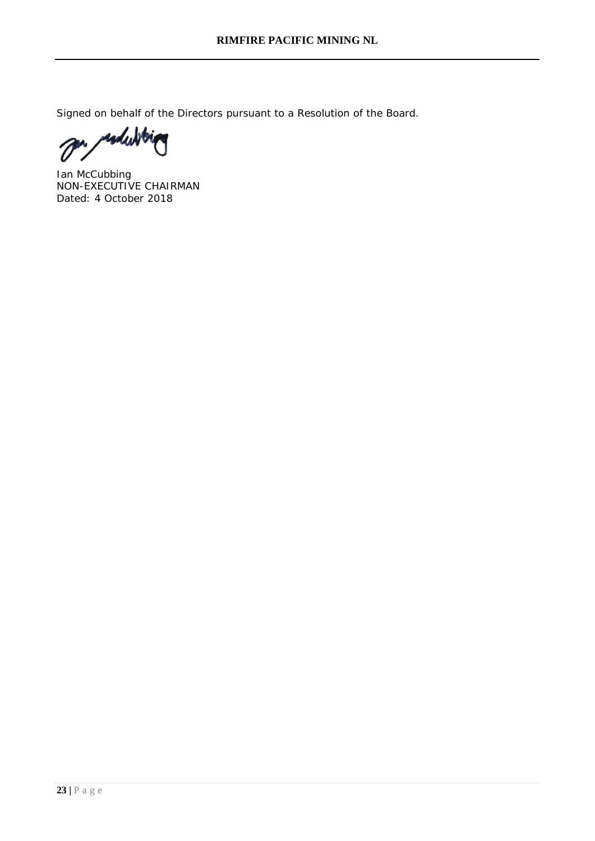Signed on behalf of the Directors pursuant to a Resolution of the Board.

esdubbi  $\prime$ 

Ian McCubbing NON-EXECUTIVE CHAIRMAN Dated: 4 October 2018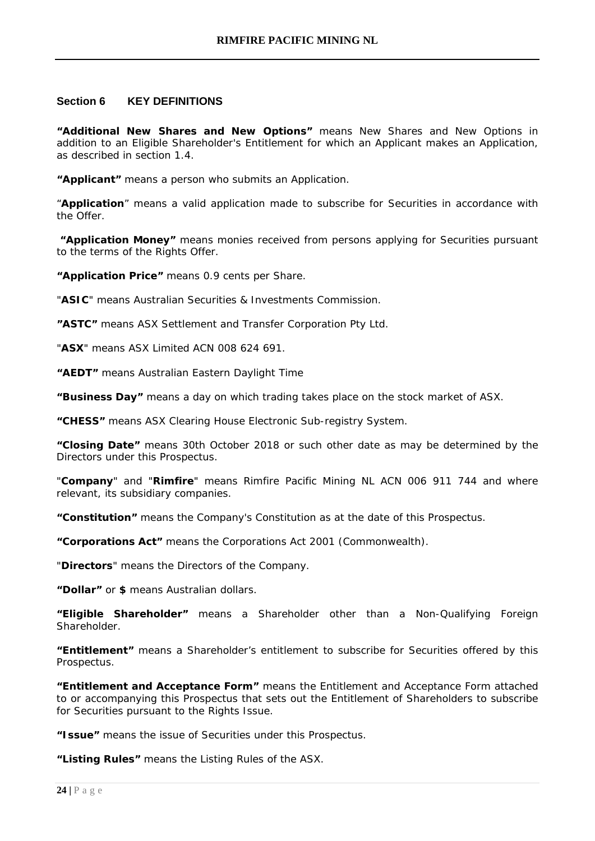#### **Section 6 KEY DEFINITIONS**

**"Additional New Shares and New Options"** means New Shares and New Options in addition to an Eligible Shareholder's Entitlement for which an Applicant makes an Application, as described in section 1.4.

**"Applicant"** means a person who submits an Application.

"**Application**" means a valid application made to subscribe for Securities in accordance with the Offer.

**"Application Money"** means monies received from persons applying for Securities pursuant to the terms of the Rights Offer.

**"Application Price"** means 0.9 cents per Share.

"**ASIC**" means Australian Securities & Investments Commission.

**"ASTC"** means ASX Settlement and Transfer Corporation Pty Ltd.

"**ASX**" means ASX Limited ACN 008 624 691.

**"AEDT"** means Australian Eastern Daylight Time

**"Business Day"** means a day on which trading takes place on the stock market of ASX.

**"CHESS"** means ASX Clearing House Electronic Sub-registry System.

**"Closing Date"** means 30th October 2018 or such other date as may be determined by the Directors under this Prospectus.

"**Company**" and "**Rimfire**" means Rimfire Pacific Mining NL ACN 006 911 744 and where relevant, its subsidiary companies.

**"Constitution"** means the Company's Constitution as at the date of this Prospectus.

**"Corporations Act"** means the Corporations Act 2001 (Commonwealth).

"**Directors**" means the Directors of the Company.

**"Dollar"** or **\$** means Australian dollars.

**"Eligible Shareholder"** means a Shareholder other than a Non-Qualifying Foreign **Shareholder** 

**"Entitlement"** means a Shareholder's entitlement to subscribe for Securities offered by this Prospectus.

**"Entitlement and Acceptance Form"** means the Entitlement and Acceptance Form attached to or accompanying this Prospectus that sets out the Entitlement of Shareholders to subscribe for Securities pursuant to the Rights Issue.

**"Issue"** means the issue of Securities under this Prospectus.

**"Listing Rules"** means the Listing Rules of the ASX.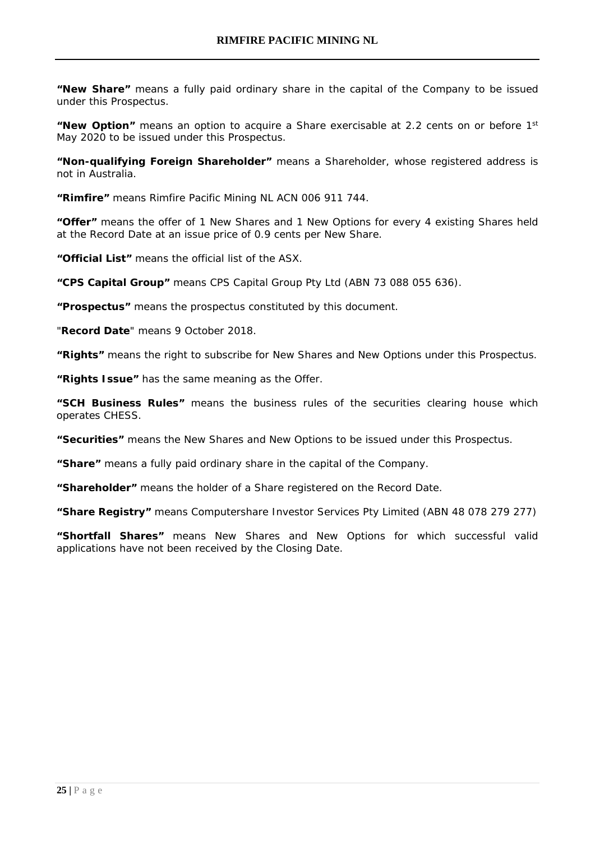**"New Share"** means a fully paid ordinary share in the capital of the Company to be issued under this Prospectus.

**"New Option"** means an option to acquire a Share exercisable at 2.2 cents on or before 1st May 2020 to be issued under this Prospectus.

**"Non-qualifying Foreign Shareholder"** means a Shareholder, whose registered address is not in Australia.

**"Rimfire"** means Rimfire Pacific Mining NL ACN 006 911 744.

**"Offer"** means the offer of 1 New Shares and 1 New Options for every 4 existing Shares held at the Record Date at an issue price of 0.9 cents per New Share.

**"Official List"** means the official list of the ASX.

**"CPS Capital Group"** means CPS Capital Group Pty Ltd (ABN 73 088 055 636).

**"Prospectus"** means the prospectus constituted by this document.

"**Record Date**" means 9 October 2018.

**"Rights"** means the right to subscribe for New Shares and New Options under this Prospectus.

**"Rights Issue"** has the same meaning as the Offer.

**"SCH Business Rules"** means the business rules of the securities clearing house which operates CHESS.

**"Securities"** means the New Shares and New Options to be issued under this Prospectus.

**"Share"** means a fully paid ordinary share in the capital of the Company.

**"Shareholder"** means the holder of a Share registered on the Record Date.

**"Share Registry"** means Computershare Investor Services Pty Limited (ABN 48 078 279 277)

**"Shortfall Shares"** means New Shares and New Options for which successful valid applications have not been received by the Closing Date.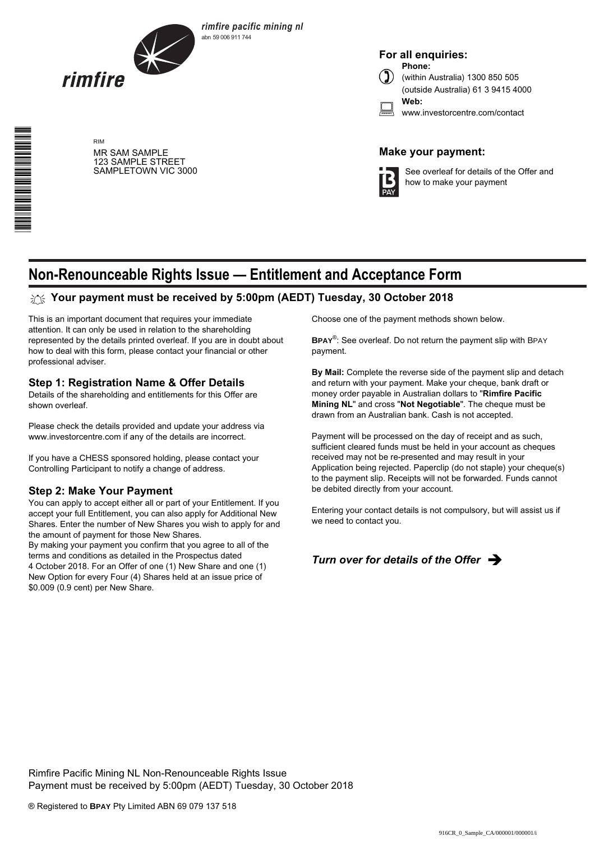

MR SAM SAMPLE 123 SAMPLE STREET SAMPLETOWN VIC 3000

RIM

\*S000001Q01\*

*rimfire pacific mining nl* abn 59 006 911 744

**For all enquiries: Phone:**



(within Australia) 1300 850 505 (outside Australia) 61 3 9415 4000 **Web:**

| ٨I<br><b>W</b><br>v |
|---------------------|
|                     |
|                     |

investorcentre.com/contact

# **Make your payment:**



See overleaf for details of the Offer and how to make your payment

# **Non-Renounceable Rights Issue — Entitlement and Acceptance Form**

# **Your payment must be received by 5:00pm (AEDT) Tuesday, 30 October 2018**

This is an important document that requires your immediate attention. It can only be used in relation to the shareholding represented by the details printed overleaf. If you are in doubt about how to deal with this form, please contact your financial or other professional adviser.

#### **Step 1: Registration Name & Offer Details**

Details of the shareholding and entitlements for this Offer are shown overleaf.

Please check the details provided and update your address via www.investorcentre.com if any of the details are incorrect.

If you have a CHESS sponsored holding, please contact your Controlling Participant to notify a change of address.

#### **Step 2: Make Your Payment**

You can apply to accept either all or part of your Entitlement. If you accept your full Entitlement, you can also apply for Additional New Shares. Enter the number of New Shares you wish to apply for and the amount of payment for those New Shares.

By making your payment you confirm that you agree to all of the terms and conditions as detailed in the Prospectus dated 4 October 2018. For an Offer of one (1) New Share and one (1) New Option for every Four (4) Shares held at an issue price of \$0.009 (0.9 cent) per New Share.

Choose one of the payment methods shown below.

**BPAY**® : See overleaf. Do not return the payment slip with BPAY payment.

**By Mail:** Complete the reverse side of the payment slip and detach and return with your payment. Make your cheque, bank draft or money order payable in Australian dollars to "**Rimfire Pacific Mining NL**" and cross "**Not Negotiable**". The cheque must be drawn from an Australian bank. Cash is not accepted.

Payment will be processed on the day of receipt and as such, sufficient cleared funds must be held in your account as cheques received may not be re-presented and may result in your Application being rejected. Paperclip (do not staple) your cheque(s) to the payment slip. Receipts will not be forwarded. Funds cannot be debited directly from your account.

Entering your contact details is not compulsory, but will assist us if we need to contact you.



Rimfire Pacific Mining NL Non-Renounceable Rights Issue Payment must be received by 5:00pm (AEDT) Tuesday, 30 October 2018